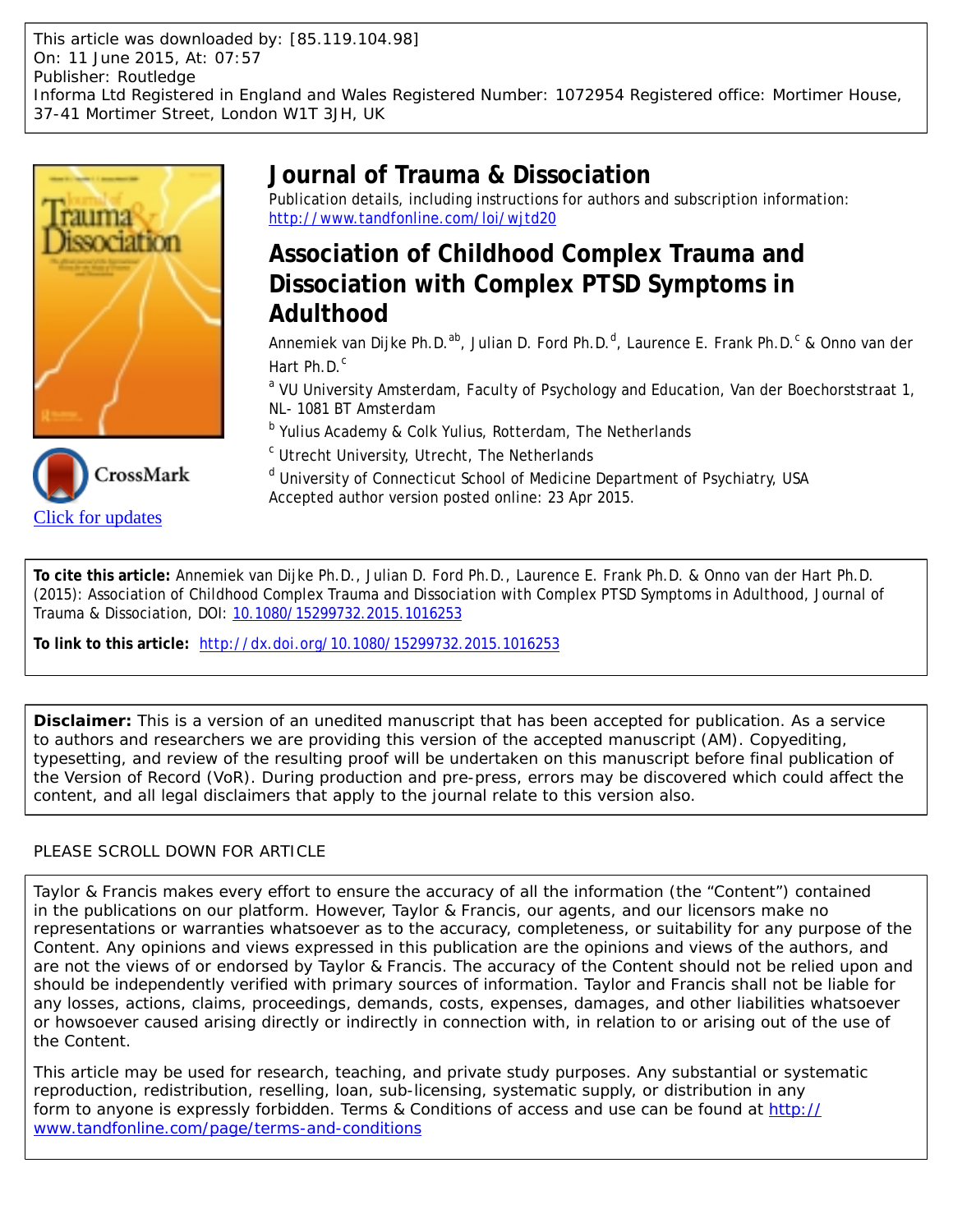This article was downloaded by: [85.119.104.98] On: 11 June 2015, At: 07:57 Publisher: Routledge Informa Ltd Registered in England and Wales Registered Number: 1072954 Registered office: Mortimer House, 37-41 Mortimer Street, London W1T 3JH, UK



[Click for updates](http://crossmark.crossref.org/dialog/?doi=10.1080/15299732.2015.1016253&domain=pdf&date_stamp=2015-04-23)

# **Journal of Trauma & Dissociation**

Publication details, including instructions for authors and subscription information: <http://www.tandfonline.com/loi/wjtd20>

## **Association of Childhood Complex Trauma and Dissociation with Complex PTSD Symptoms in Adulthood**

Annemiek van Dijke Ph.D.<sup>ab</sup>, Julian D. Ford Ph.D.<sup>d</sup>, Laurence E. Frank Ph.D.<sup>c</sup> & Onno van der Hart Ph.D.<sup>c</sup>

<sup>a</sup> VU University Amsterdam, Faculty of Psychology and Education, Van der Boechorststraat 1, NL- 1081 BT Amsterdam

<sup>b</sup> Yulius Academy & Colk Yulius, Rotterdam, The Netherlands

<sup>c</sup> Utrecht University, Utrecht, The Netherlands

<sup>d</sup> University of Connecticut School of Medicine Department of Psychiatry, USA Accepted author version posted online: 23 Apr 2015.

**To cite this article:** Annemiek van Dijke Ph.D., Julian D. Ford Ph.D., Laurence E. Frank Ph.D. & Onno van der Hart Ph.D. (2015): Association of Childhood Complex Trauma and Dissociation with Complex PTSD Symptoms in Adulthood, Journal of Trauma & Dissociation, DOI: [10.1080/15299732.2015.1016253](http://www.tandfonline.com/action/showCitFormats?doi=10.1080/15299732.2015.1016253)

**To link to this article:** <http://dx.doi.org/10.1080/15299732.2015.1016253>

**Disclaimer:** This is a version of an unedited manuscript that has been accepted for publication. As a service to authors and researchers we are providing this version of the accepted manuscript (AM). Copyediting, typesetting, and review of the resulting proof will be undertaken on this manuscript before final publication of the Version of Record (VoR). During production and pre-press, errors may be discovered which could affect the content, and all legal disclaimers that apply to the journal relate to this version also.

#### PLEASE SCROLL DOWN FOR ARTICLE

Taylor & Francis makes every effort to ensure the accuracy of all the information (the "Content") contained in the publications on our platform. However, Taylor & Francis, our agents, and our licensors make no representations or warranties whatsoever as to the accuracy, completeness, or suitability for any purpose of the Content. Any opinions and views expressed in this publication are the opinions and views of the authors, and are not the views of or endorsed by Taylor & Francis. The accuracy of the Content should not be relied upon and should be independently verified with primary sources of information. Taylor and Francis shall not be liable for any losses, actions, claims, proceedings, demands, costs, expenses, damages, and other liabilities whatsoever or howsoever caused arising directly or indirectly in connection with, in relation to or arising out of the use of the Content.

This article may be used for research, teaching, and private study purposes. Any substantial or systematic reproduction, redistribution, reselling, loan, sub-licensing, systematic supply, or distribution in any form to anyone is expressly forbidden. Terms & Conditions of access and use can be found at [http://](http://www.tandfonline.com/page/terms-and-conditions) [www.tandfonline.com/page/terms-and-conditions](http://www.tandfonline.com/page/terms-and-conditions)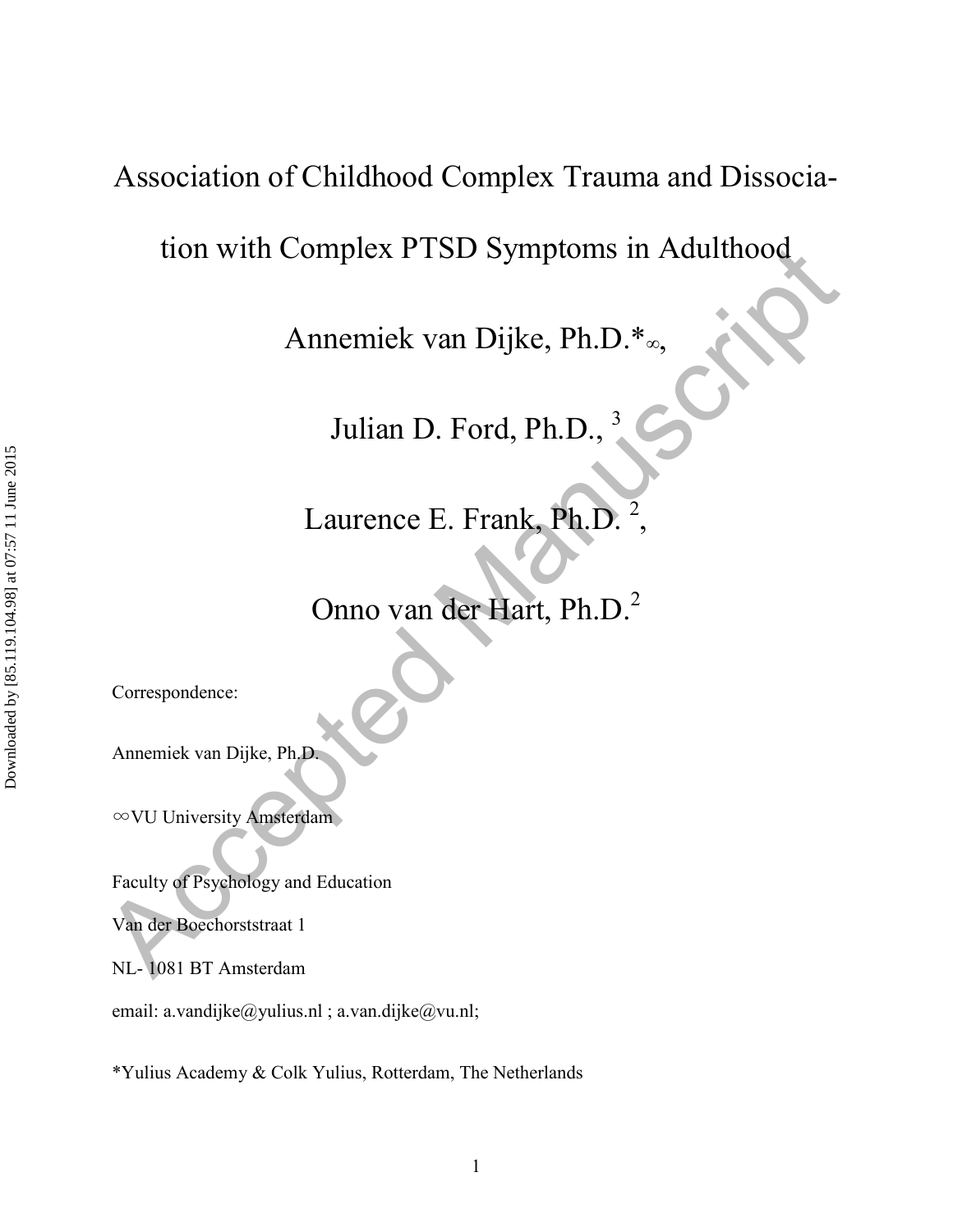# Association of Childhood Complex Trauma and Dissocia-

# tion with Complex P1SD Symptoms in Adulthood<br>
Annemiek van Dijke, Ph.D.<sup>3</sup><br>
Julian D. Ford, Ph.D.,<sup>3</sup><br>
Laurence E. Frank, Ph.D.<sup>2</sup>,<br>
Onno van der Hart, Ph.D.<sup>2</sup><br>
Correspondence<br>
Ameurick van Dijke, Ph.**D.**<br>
Correspondence tion with Complex PTSD Symptoms in Adulthood

Annemiek van Dijke, Ph.D.\*∞,

Julian D. Ford, Ph.D., <sup>3</sup>

Laurence E. Frank, Ph.D. ,

Onno van der Hart, Ph.D.<sup>2</sup>

Correspondence:

Annemiek van Dijke, Ph.D.

∞VU University Amsterdam

Faculty of Psychology and Education

Van der Boechorststraat 1

NL- 1081 BT Amsterdam

email: a.vandijke@yulius.nl ; a.van.dijke@vu.nl;

\*Yulius Academy & Colk Yulius, Rotterdam, The Netherlands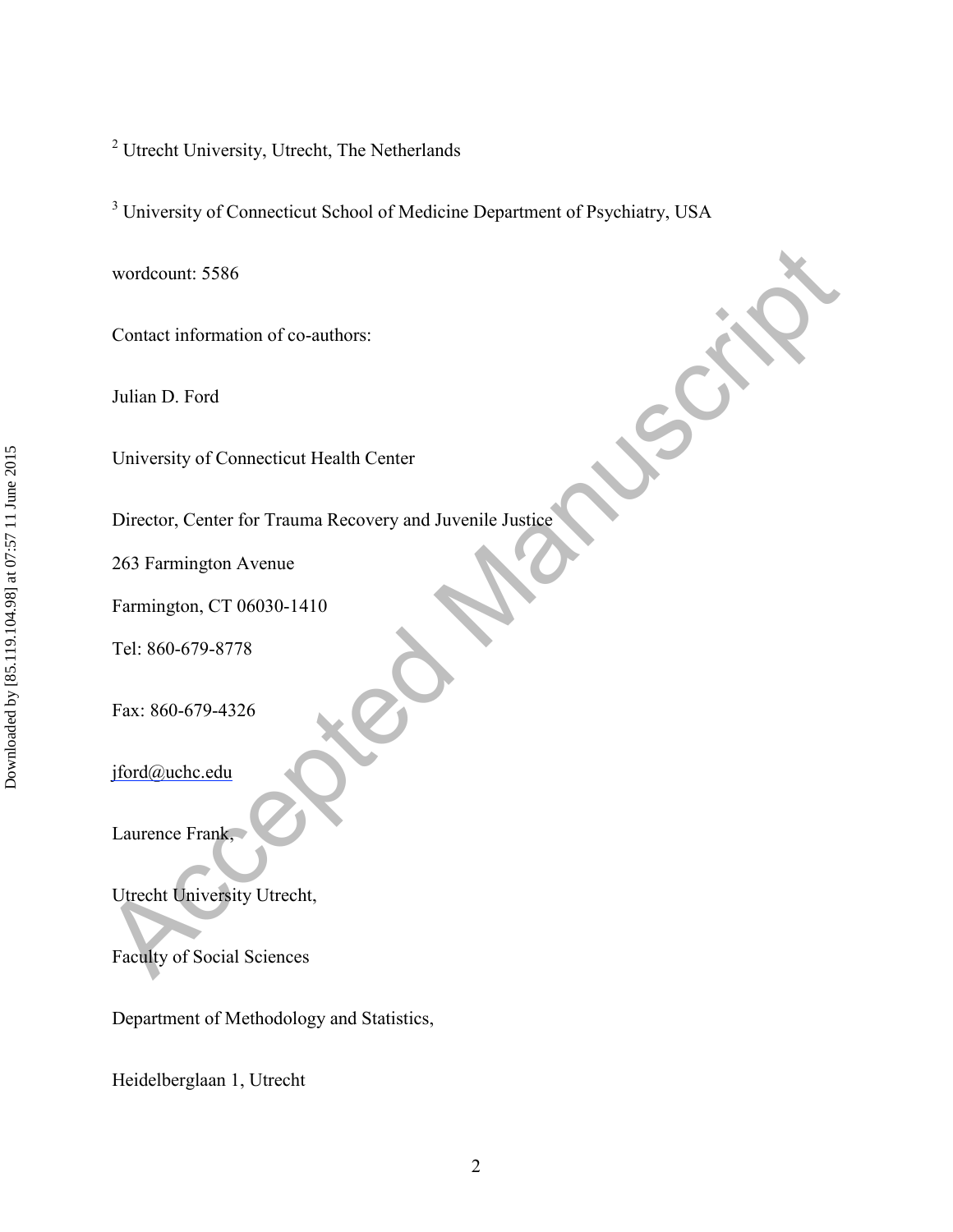<sup>2</sup> Utrecht University, Utrecht, The Netherlands

<sup>3</sup> University of Connecticut School of Medicine Department of Psychiatry, USA

wordcount: 5586

Contact information of co-authors:

Julian D. Ford

University of Connecticut Health Center

wordcount: 5586<br>
Contact information of co-authors:<br>
Julian D. Ford<br>
University of Connecticut Health Center<br>
Director, Center for Trauma Recovery and Juvenile Justice<br>
263 Farmington, CT 06030-1410<br>
Tel: 860-679-8778<br>
Fax Director, Center for Trauma Recovery and Juvenile Justice

263 Farmington Avenue

Farmington, CT 06030-1410

Tel: 860-679-8778

Fax: 860-679-4326

jford@uchc.edu

Laurence Frank,

Utrecht University Utrecht,

Faculty of Social Sciences

Department of Methodology and Statistics,

Heidelberglaan 1, Utrecht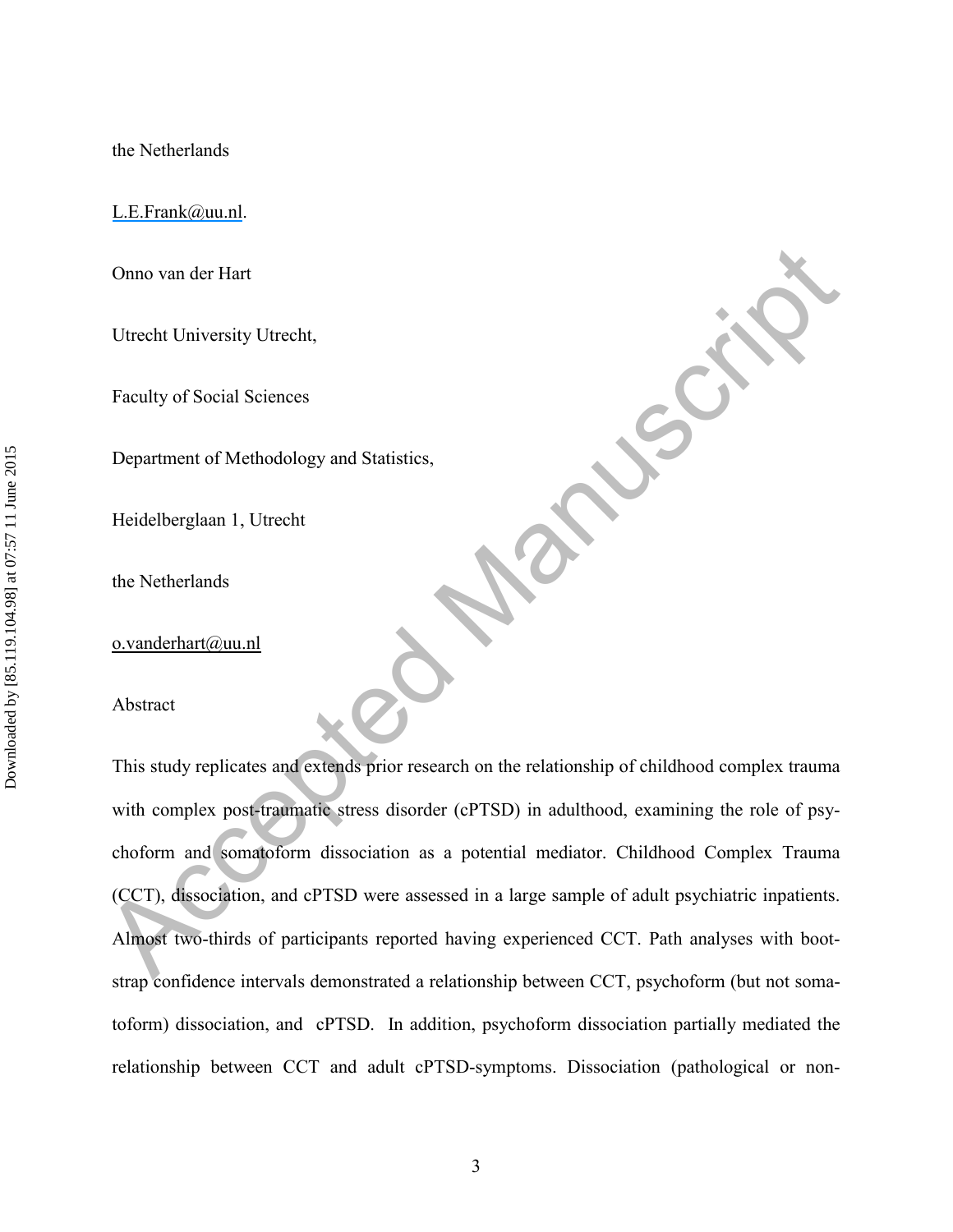L.E.Frank@uu.nl.

Onno van der Hart

Utrecht University Utrecht,

Faculty of Social Sciences

Department of Methodology and Statistics,

Heidelberglaan 1, Utrecht

the Netherlands

o.vanderhart@uu.nl

Abstract

Onno van der Hart<br>
Utrecht University Utrecht,<br>
Faculty of Social Sciences<br>
Department of Methodology and Statistics,<br>
Heidelberglaan 1, Utrecht<br>
the Netherlands<br>
<u>ovemdcrhart@uu.nl</u><br>
Abstract<br>
This study replicates and ex This study replicates and extends prior research on the relationship of childhood complex trauma with complex post-traumatic stress disorder (cPTSD) in adulthood, examining the role of psychoform and somatoform dissociation as a potential mediator. Childhood Complex Trauma (CCT), dissociation, and cPTSD were assessed in a large sample of adult psychiatric inpatients. Almost two-thirds of participants reported having experienced CCT. Path analyses with bootstrap confidence intervals demonstrated a relationship between CCT, psychoform (but not somatoform) dissociation, and cPTSD. In addition, psychoform dissociation partially mediated the relationship between CCT and adult cPTSD-symptoms. Dissociation (pathological or non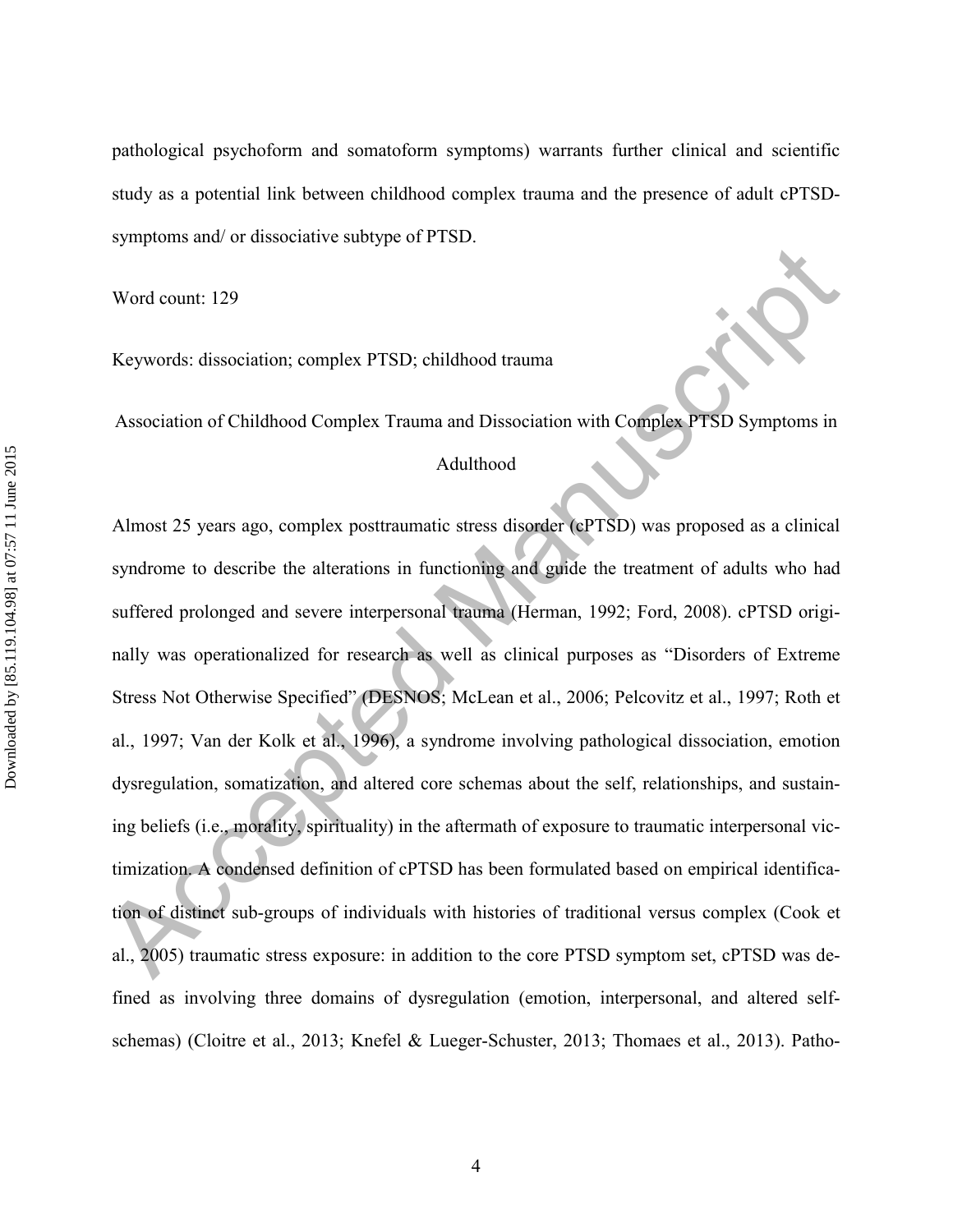pathological psychoform and somatoform symptoms) warrants further clinical and scientific study as a potential link between childhood complex trauma and the presence of adult cPTSDsymptoms and/ or dissociative subtype of PTSD.

Word count: 129

Keywords: dissociation; complex PTSD; childhood trauma

Association of Childhood Complex Trauma and Dissociation with Complex PTSD Symptoms in

#### Adulthood

Word count: 129<br>
Keywords: dissociation; complex PTSD; childhood trauma<br>
Association of Childhood Complex Trauma and Dissociation with Complex PTSD Symptoms in<br>
Adulthood<br>
Almost 25 years ago, complex posttraumatic stress Almost 25 years ago, complex posttraumatic stress disorder (cPTSD) was proposed as a clinical syndrome to describe the alterations in functioning and guide the treatment of adults who had suffered prolonged and severe interpersonal trauma (Herman, 1992; Ford, 2008). cPTSD originally was operationalized for research as well as clinical purposes as "Disorders of Extreme Stress Not Otherwise Specified" (DESNOS; McLean et al., 2006; Pelcovitz et al., 1997; Roth et al., 1997; Van der Kolk et al., 1996), a syndrome involving pathological dissociation, emotion dysregulation, somatization, and altered core schemas about the self, relationships, and sustaining beliefs (i.e., morality, spirituality) in the aftermath of exposure to traumatic interpersonal victimization. A condensed definition of cPTSD has been formulated based on empirical identification of distinct sub-groups of individuals with histories of traditional versus complex (Cook et al., 2005) traumatic stress exposure: in addition to the core PTSD symptom set, cPTSD was defined as involving three domains of dysregulation (emotion, interpersonal, and altered selfschemas) (Cloitre et al., 2013; Knefel & Lueger-Schuster, 2013; Thomaes et al., 2013). Patho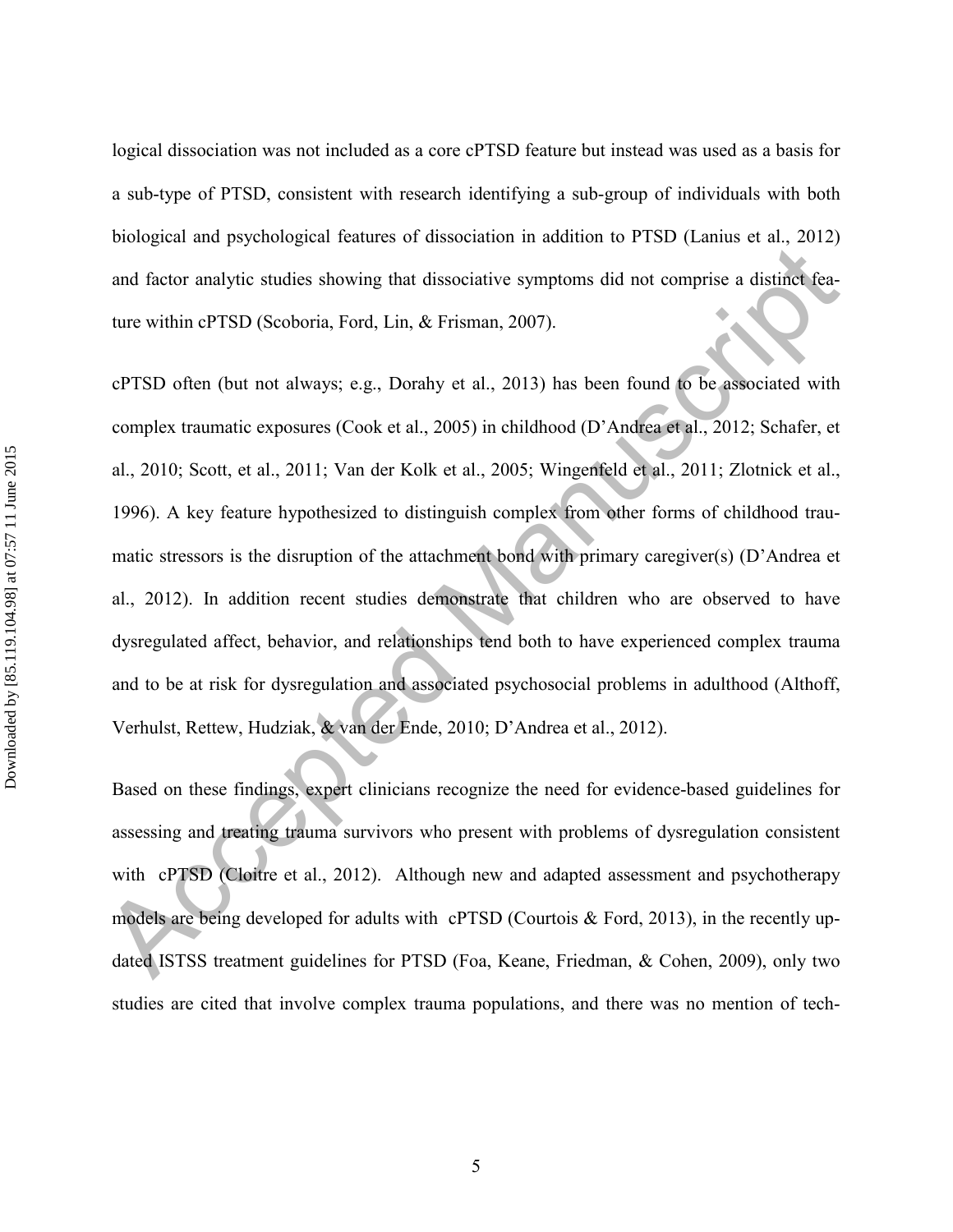logical dissociation was not included as a core cPTSD feature but instead was used as a basis for a sub-type of PTSD, consistent with research identifying a sub-group of individuals with both biological and psychological features of dissociation in addition to PTSD (Lanius et al., 2012) and factor analytic studies showing that dissociative symptoms did not comprise a distinct feature within cPTSD (Scoboria, Ford, Lin, & Frisman, 2007).

The distinction of the stationary and distinction of the reading that distinct the distinct fracture within ePTSD (Scoboria, Ford, Lin, & Frisman, 2007).<br>
Accepted Manuscriptic Scotter Experimental Considers and the consis cPTSD often (but not always; e.g., Dorahy et al., 2013) has been found to be associated with complex traumatic exposures (Cook et al., 2005) in childhood (D'Andrea et al., 2012; Schafer, et al., 2010; Scott, et al., 2011; Van der Kolk et al., 2005; Wingenfeld et al., 2011; Zlotnick et al., 1996). A key feature hypothesized to distinguish complex from other forms of childhood traumatic stressors is the disruption of the attachment bond with primary caregiver(s) (D'Andrea et al., 2012). In addition recent studies demonstrate that children who are observed to have dysregulated affect, behavior, and relationships tend both to have experienced complex trauma and to be at risk for dysregulation and associated psychosocial problems in adulthood (Althoff, Verhulst, Rettew, Hudziak, & van der Ende, 2010; D'Andrea et al., 2012).

Based on these findings, expert clinicians recognize the need for evidence-based guidelines for assessing and treating trauma survivors who present with problems of dysregulation consistent with cPTSD (Cloitre et al., 2012). Although new and adapted assessment and psychotherapy models are being developed for adults with cPTSD (Courtois & Ford, 2013), in the recently updated ISTSS treatment guidelines for PTSD (Foa, Keane, Friedman, & Cohen, 2009), only two studies are cited that involve complex trauma populations, and there was no mention of tech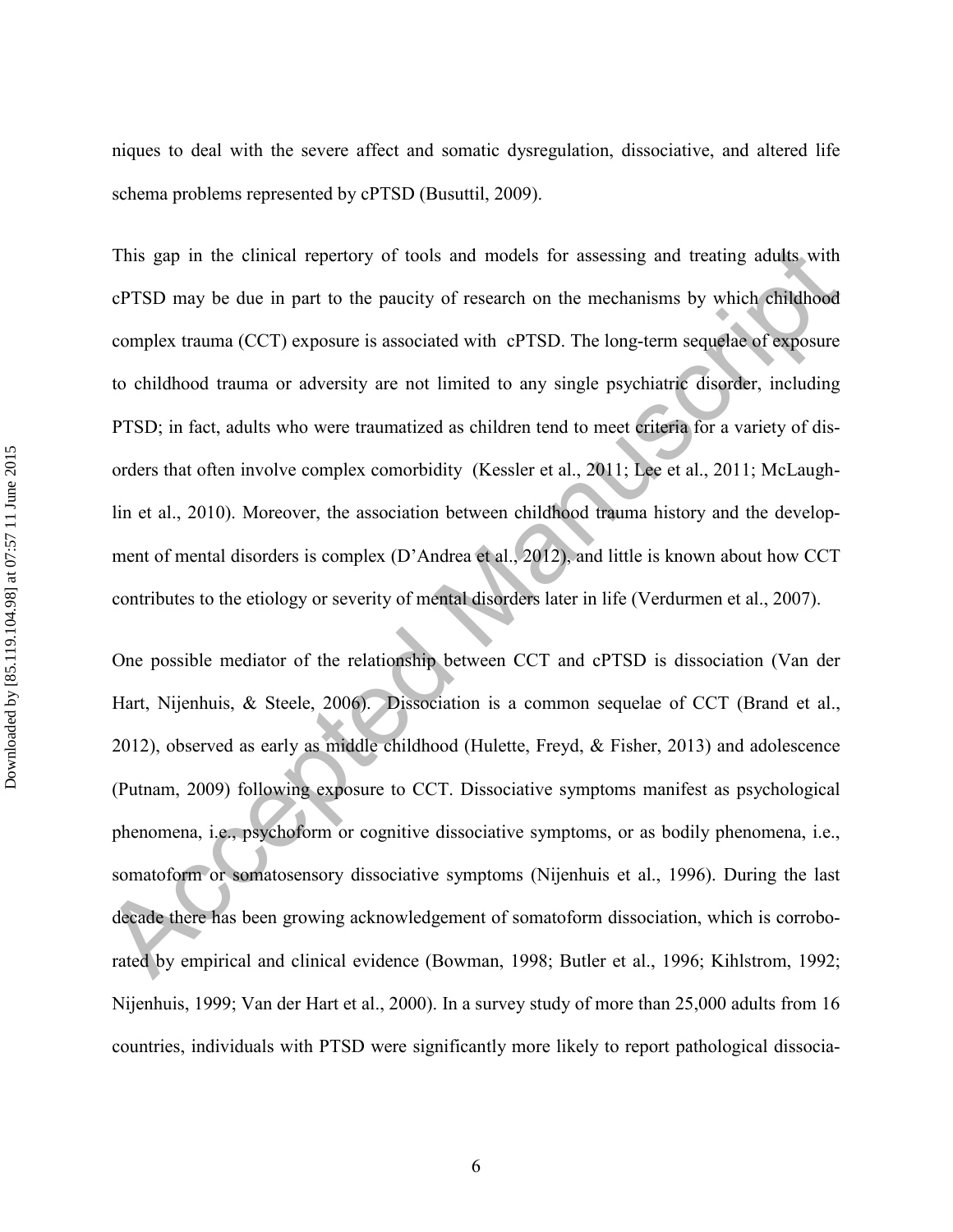niques to deal with the severe affect and somatic dysregulation, dissociative, and altered life schema problems represented by cPTSD (Busuttil, 2009).

This gap in the clinical repertory of tools and models for assessing and treating adults with<br>ePTSD may be due in part to the paucity of research on the mechanisms by which childhood<br>complex trauma (CCT) exposure is associ This gap in the clinical repertory of tools and models for assessing and treating adults with cPTSD may be due in part to the paucity of research on the mechanisms by which childhood complex trauma (CCT) exposure is associated with cPTSD. The long-term sequelae of exposure to childhood trauma or adversity are not limited to any single psychiatric disorder, including PTSD; in fact, adults who were traumatized as children tend to meet criteria for a variety of disorders that often involve complex comorbidity (Kessler et al., 2011; Lee et al., 2011; McLaughlin et al., 2010). Moreover, the association between childhood trauma history and the development of mental disorders is complex (D'Andrea et al., 2012), and little is known about how CCT contributes to the etiology or severity of mental disorders later in life (Verdurmen et al., 2007).

One possible mediator of the relationship between CCT and cPTSD is dissociation (Van der Hart, Nijenhuis, & Steele, 2006). Dissociation is a common sequelae of CCT (Brand et al., 2012), observed as early as middle childhood (Hulette, Freyd, & Fisher, 2013) and adolescence (Putnam, 2009) following exposure to CCT. Dissociative symptoms manifest as psychological phenomena, i.e., psychoform or cognitive dissociative symptoms, or as bodily phenomena, i.e., somatoform or somatosensory dissociative symptoms (Nijenhuis et al., 1996). During the last decade there has been growing acknowledgement of somatoform dissociation, which is corroborated by empirical and clinical evidence (Bowman, 1998; Butler et al., 1996; Kihlstrom, 1992; Nijenhuis, 1999; Van der Hart et al., 2000). In a survey study of more than 25,000 adults from 16 countries, individuals with PTSD were significantly more likely to report pathological dissocia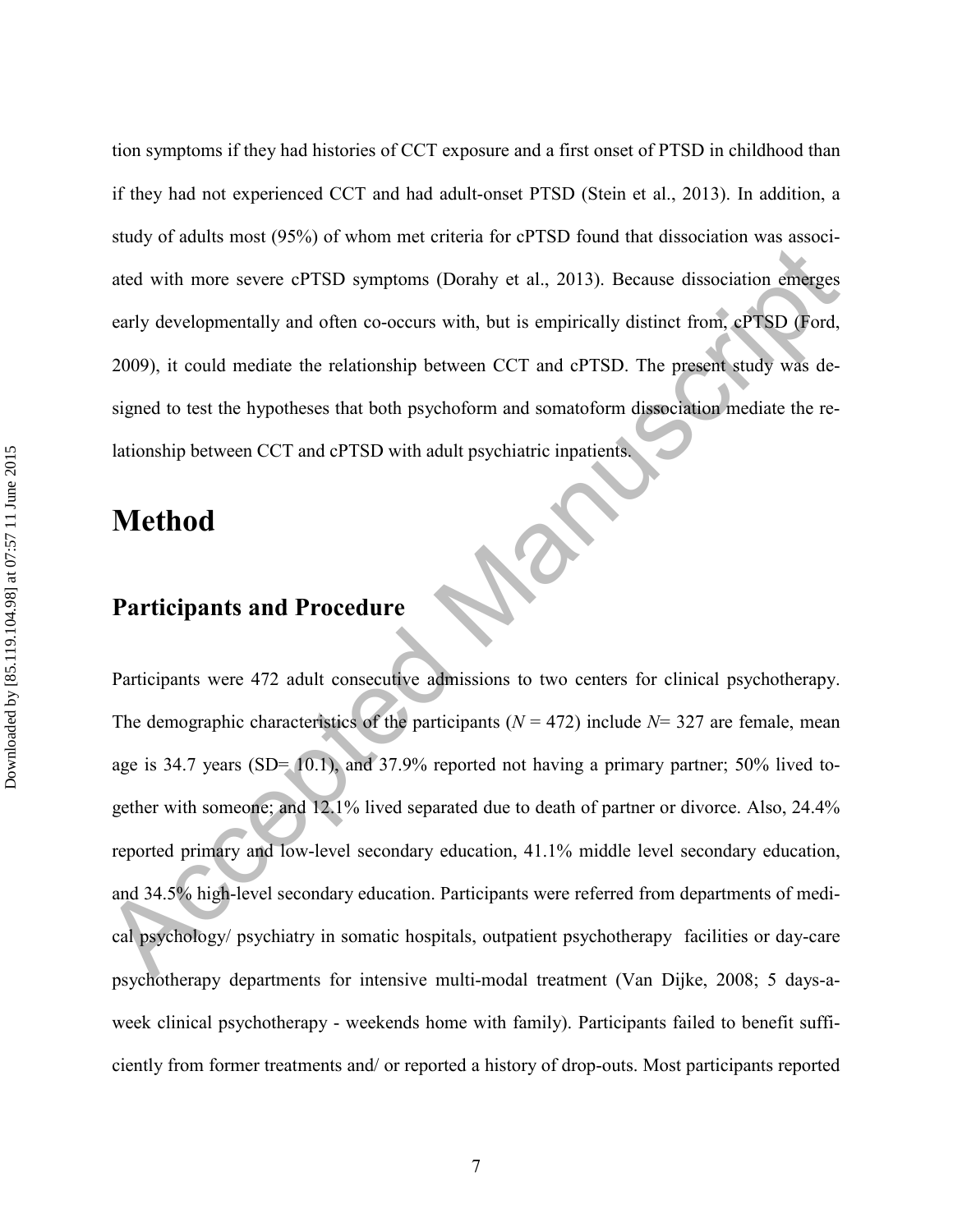tion symptoms if they had histories of CCT exposure and a first onset of PTSD in childhood than if they had not experienced CCT and had adult-onset PTSD (Stein et al., 2013). In addition, a study of adults most (95%) of whom met criteria for cPTSD found that dissociation was associated with more severe cPTSD symptoms (Dorahy et al., 2013). Because dissociation emerges early developmentally and often co-occurs with, but is empirically distinct from, cPTSD (Ford, 2009), it could mediate the relationship between CCT and cPTSD. The present study was designed to test the hypotheses that both psychoform and somatoform dissociation mediate the relationship between CCT and cPTSD with adult psychiatric inpatients.

### **Method**

#### **Participants and Procedure**

and with more severe cPTSD symptoms (Dorahy et al., 2013). Because dissociation emerges<br>carly developmentally and often co-occurs with, but is empirically distinct from cPTSD (Pord,<br>2009), it could mediate the relationship Participants were 472 adult consecutive admissions to two centers for clinical psychotherapy. The demographic characteristics of the participants ( $N = 472$ ) include  $N = 327$  are female, mean age is 34.7 years (SD=  $(10.1)$ , and 37.9% reported not having a primary partner; 50% lived together with someone; and 12.1% lived separated due to death of partner or divorce. Also, 24.4% reported primary and low-level secondary education, 41.1% middle level secondary education, and 34.5% high-level secondary education. Participants were referred from departments of medical psychology/ psychiatry in somatic hospitals, outpatient psychotherapy facilities or day-care psychotherapy departments for intensive multi-modal treatment (Van Dijke, 2008; 5 days-aweek clinical psychotherapy - weekends home with family). Participants failed to benefit sufficiently from former treatments and/ or reported a history of drop-outs. Most participants reported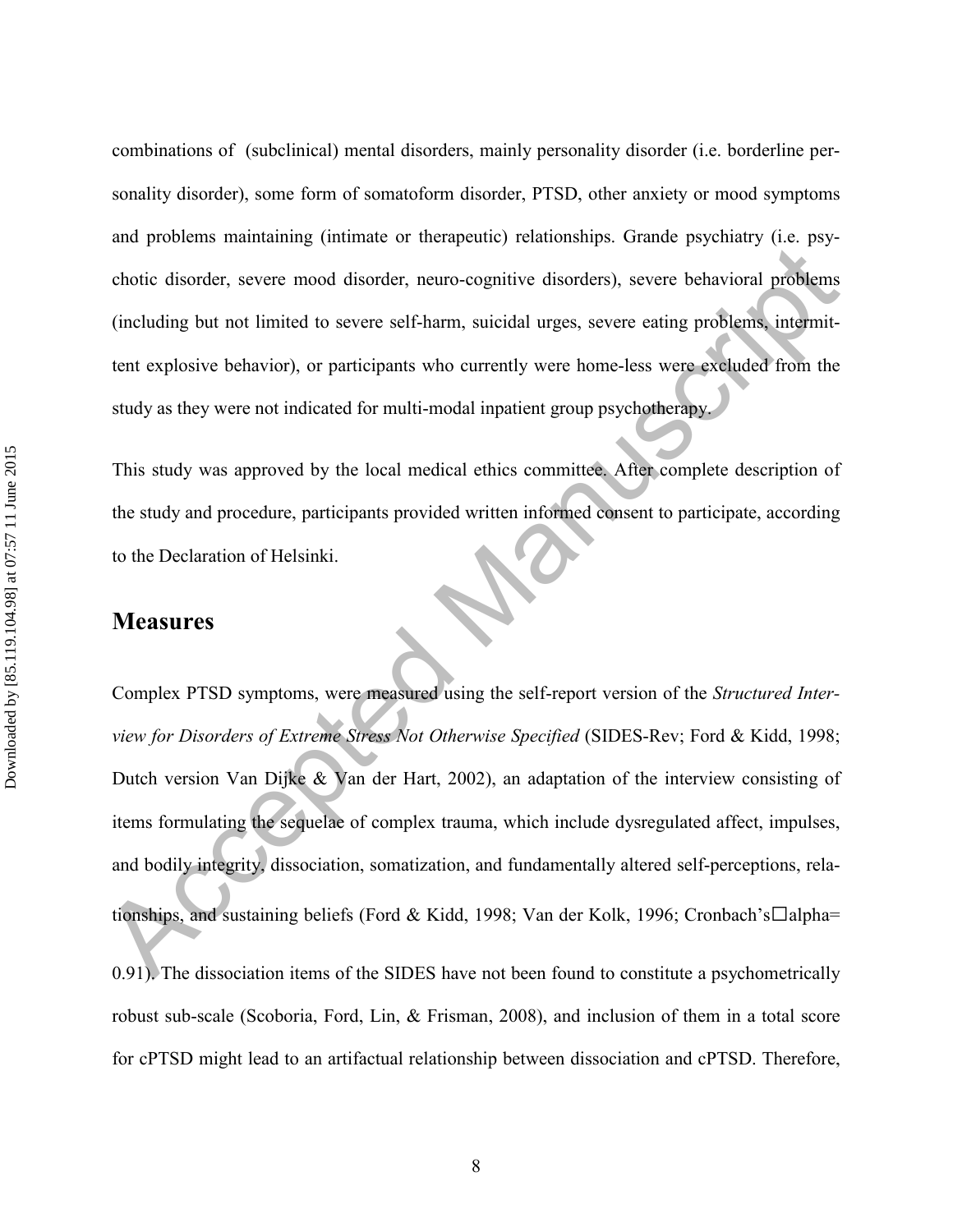combinations of (subclinical) mental disorders, mainly personality disorder (i.e. borderline personality disorder), some form of somatoform disorder, PTSD, other anxiety or mood symptoms and problems maintaining (intimate or therapeutic) relationships. Grande psychiatry (i.e. psychotic disorder, severe mood disorder, neuro-cognitive disorders), severe behavioral problems (including but not limited to severe self-harm, suicidal urges, severe eating problems, intermittent explosive behavior), or participants who currently were home-less were excluded from the study as they were not indicated for multi-modal inpatient group psychotherapy.

This study was approved by the local medical ethics committee. After complete description of the study and procedure, participants provided written informed consent to participate, according to the Declaration of Helsinki.

#### **Measures**

chotic disorder, severe mood disorder, neuro-cognitive disorders), severe behavioral problems<br>
(including but not limited to severe self-harm, suicidal urges, severe earing problems<br>
(including but not limited to severe s Complex PTSD symptoms, were measured using the self-report version of the *Structured Interview for Disorders of Extreme Stress Not Otherwise Specified* (SIDES-Rev; Ford & Kidd, 1998; Dutch version Van Dijke & Van der Hart, 2002), an adaptation of the interview consisting of items formulating the sequelae of complex trauma, which include dysregulated affect, impulses, and bodily integrity, dissociation, somatization, and fundamentally altered self-perceptions, relationships, and sustaining beliefs (Ford & Kidd, 1998; Van der Kolk, 1996; Cronbach's $\Box$ alpha= 0.91). The dissociation items of the SIDES have not been found to constitute a psychometrically robust sub-scale (Scoboria, Ford, Lin, & Frisman, 2008), and inclusion of them in a total score for cPTSD might lead to an artifactual relationship between dissociation and cPTSD. Therefore,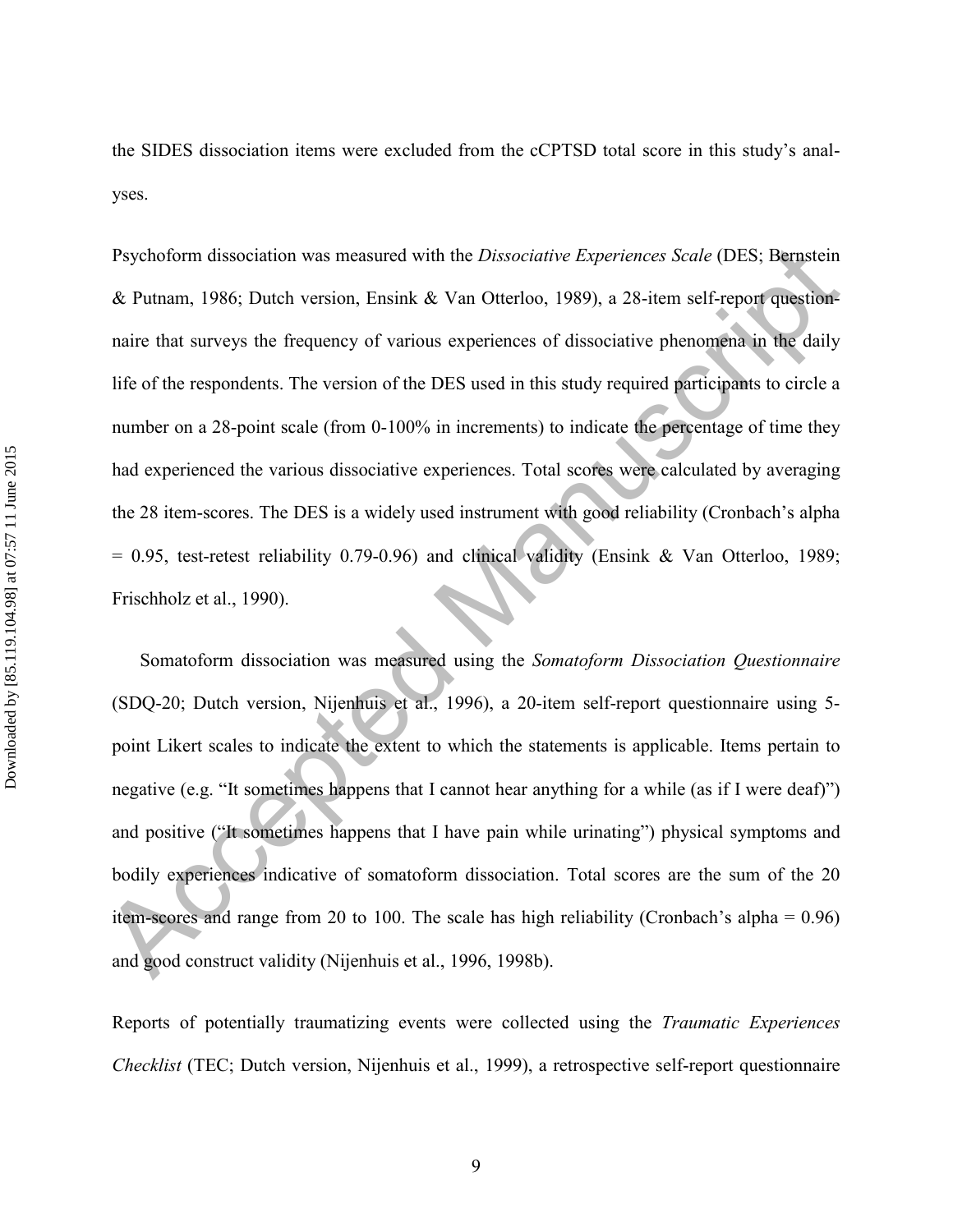the SIDES dissociation items were excluded from the cCPTSD total score in this study's analyses.

Psychoform dissociation was measured with the *Dissociative Experiences Scale* (DES; Bernstein<br>  $\&$  Putnam, 1986; Dutch version, Ensink  $\&$  Van Otterloo, 1989), a 28-item self-report question-<br>
naire that surveys the fr Psychoform dissociation was measured with the *Dissociative Experiences Scale* (DES; Bernstein & Putnam, 1986; Dutch version, Ensink & Van Otterloo, 1989), a 28-item self-report questionnaire that surveys the frequency of various experiences of dissociative phenomena in the daily life of the respondents. The version of the DES used in this study required participants to circle a number on a 28-point scale (from 0-100% in increments) to indicate the percentage of time they had experienced the various dissociative experiences. Total scores were calculated by averaging the 28 item-scores. The DES is a widely used instrument with good reliability (Cronbach's alpha = 0.95, test-retest reliability 0.79-0.96) and clinical validity (Ensink & Van Otterloo, 1989; Frischholz et al., 1990).

 Somatoform dissociation was measured using the *Somatoform Dissociation Questionnaire* (SDQ-20; Dutch version, Nijenhuis et al., 1996), a 20-item self-report questionnaire using 5 point Likert scales to indicate the extent to which the statements is applicable. Items pertain to negative (e.g. "It sometimes happens that I cannot hear anything for a while (as if I were deaf)") and positive ("It sometimes happens that I have pain while urinating") physical symptoms and bodily experiences indicative of somatoform dissociation. Total scores are the sum of the 20 item-scores and range from 20 to 100. The scale has high reliability (Cronbach's alpha = 0.96) and good construct validity (Nijenhuis et al., 1996, 1998b).

Reports of potentially traumatizing events were collected using the *Traumatic Experiences Checklist* (TEC; Dutch version, Nijenhuis et al., 1999), a retrospective self-report questionnaire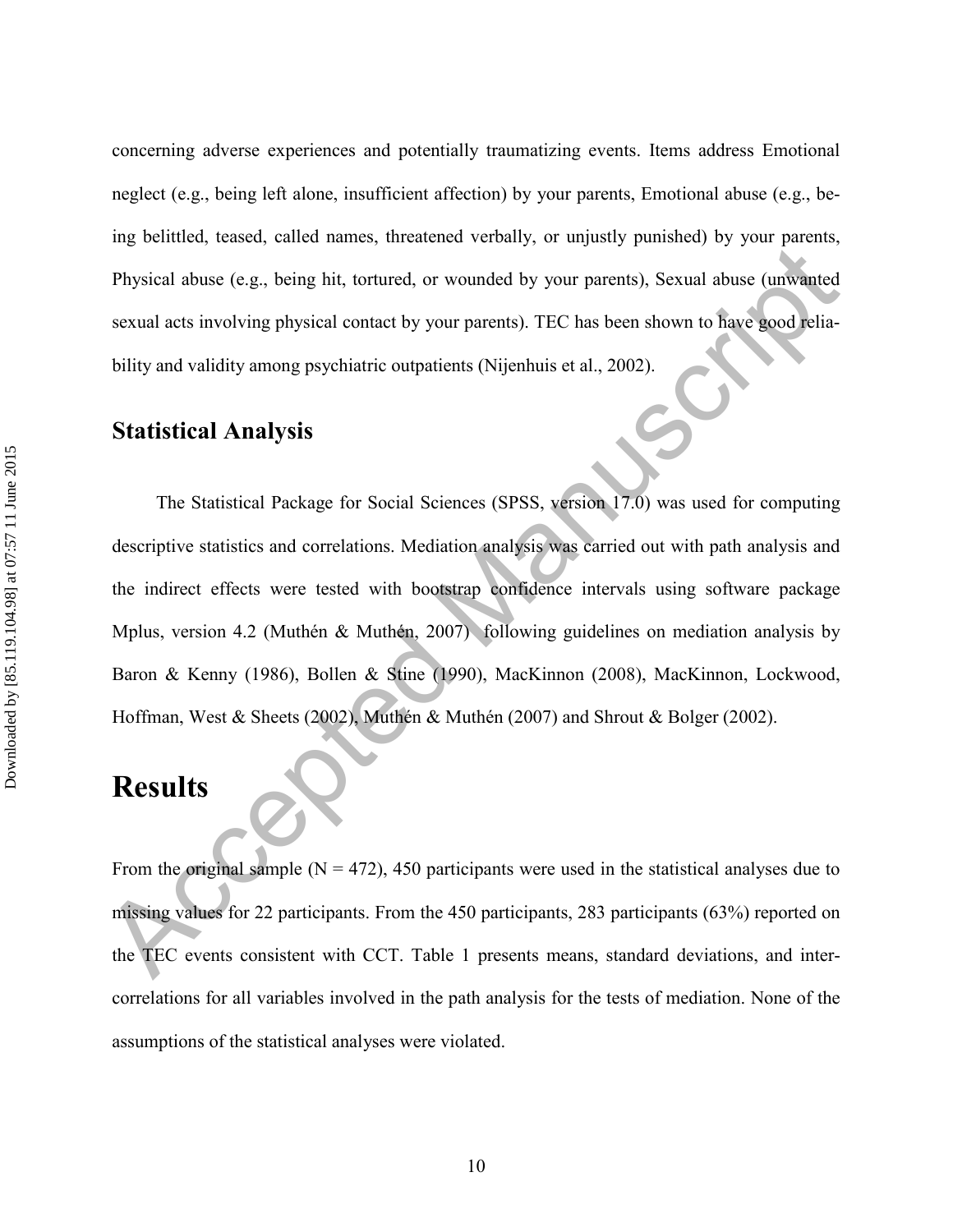concerning adverse experiences and potentially traumatizing events. Items address Emotional neglect (e.g., being left alone, insufficient affection) by your parents, Emotional abuse (e.g., being belittled, teased, called names, threatened verbally, or unjustly punished) by your parents, Physical abuse (e.g., being hit, tortured, or wounded by your parents), Sexual abuse (unwanted sexual acts involving physical contact by your parents). TEC has been shown to have good reliability and validity among psychiatric outpatients (Nijenhuis et al., 2002).

#### **Statistical Analysis**

Physical abuse (e.g., being hit, tortured, or wounded by your parents), Sexual abuse (unwatted<br>sexual acts involving physical contact by your parents). TEC has been shown to have good relia-<br>bility and validity among psyc The Statistical Package for Social Sciences (SPSS, version 17.0) was used for computing descriptive statistics and correlations. Mediation analysis was carried out with path analysis and the indirect effects were tested with bootstrap confidence intervals using software package Mplus, version 4.2 (Muthén & Muthén, 2007) following guidelines on mediation analysis by Baron & Kenny (1986), Bollen & Stine (1990), MacKinnon (2008), MacKinnon, Lockwood, Hoffman, West & Sheets (2002), Muthén & Muthén (2007) and Shrout & Bolger (2002).

# **Results**

From the original sample  $(N = 472)$ , 450 participants were used in the statistical analyses due to missing values for 22 participants. From the 450 participants, 283 participants (63%) reported on the TEC events consistent with CCT. Table 1 presents means, standard deviations, and intercorrelations for all variables involved in the path analysis for the tests of mediation. None of the assumptions of the statistical analyses were violated.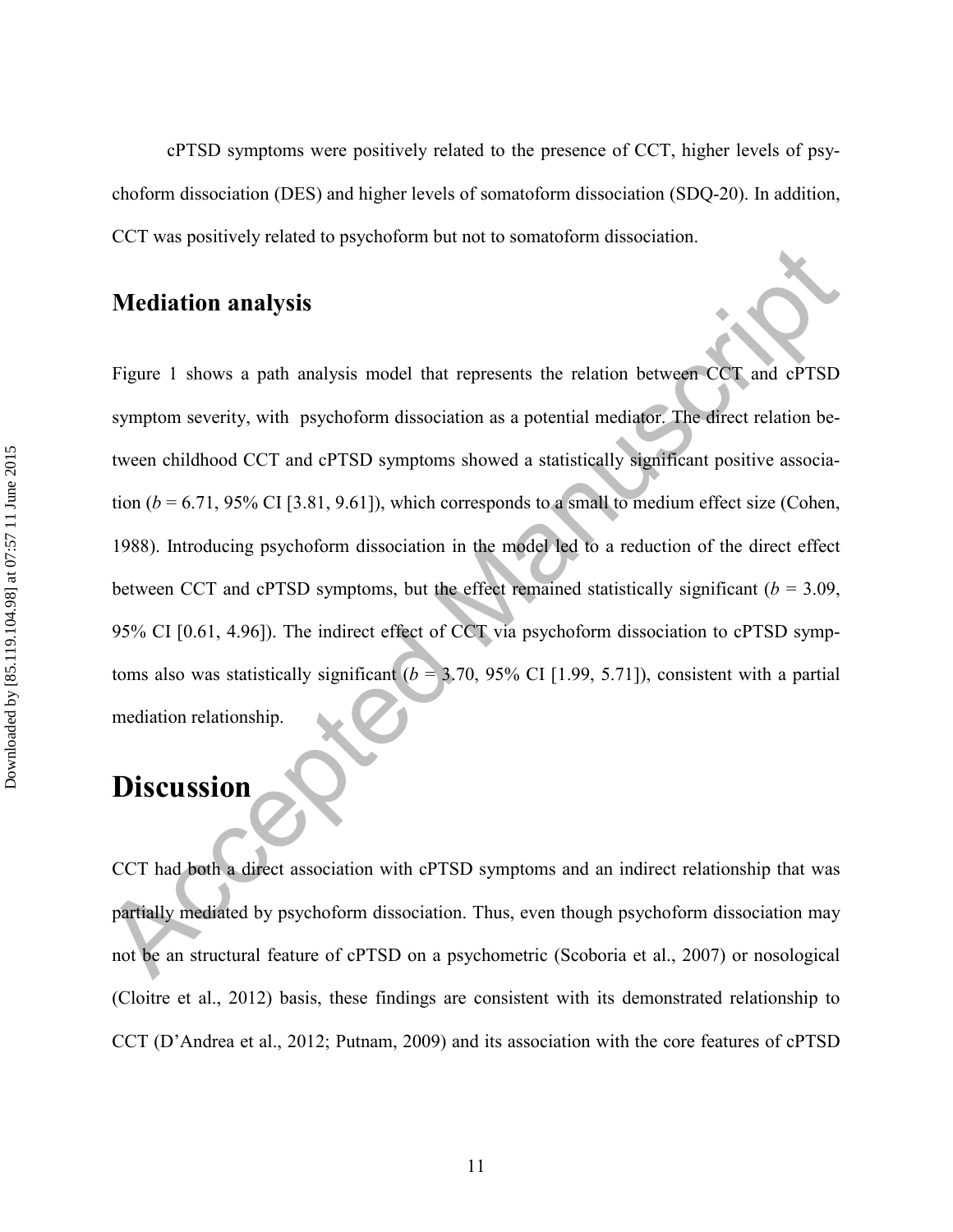cPTSD symptoms were positively related to the presence of CCT, higher levels of psychoform dissociation (DES) and higher levels of somatoform dissociation (SDQ-20). In addition, CCT was positively related to psychoform but not to somatoform dissociation.

#### **Mediation analysis**

**Mediation analysis**<br>
Figure 1 shows a path analysis model that represents the relation between CCT and ePTSD<br>
symptom severity, with psychoform dissociation as a potential mediator. The direct relation be-<br>
twocn childho Figure 1 shows a path analysis model that represents the relation between CCT and cPTSD symptom severity, with psychoform dissociation as a potential mediator. The direct relation between childhood CCT and cPTSD symptoms showed a statistically significant positive association  $(b = 6.71, 95\% \text{ CI}$  [3.81, 9.61]), which corresponds to a small to medium effect size (Cohen, 1988). Introducing psychoform dissociation in the model led to a reduction of the direct effect between CCT and cPTSD symptoms, but the effect remained statistically significant ( $b = 3.09$ , 95% CI [0.61, 4.96]). The indirect effect of CCT via psychoform dissociation to cPTSD symptoms also was statistically significant  $(b = 3.70, 95\% \text{ CI}$  [1.99, 5.71]), consistent with a partial mediation relationship.

# **Discussion**

CCT had both a direct association with cPTSD symptoms and an indirect relationship that was partially mediated by psychoform dissociation. Thus, even though psychoform dissociation may not be an structural feature of cPTSD on a psychometric (Scoboria et al., 2007) or nosological (Cloitre et al., 2012) basis, these findings are consistent with its demonstrated relationship to CCT (D'Andrea et al., 2012; Putnam, 2009) and its association with the core features of cPTSD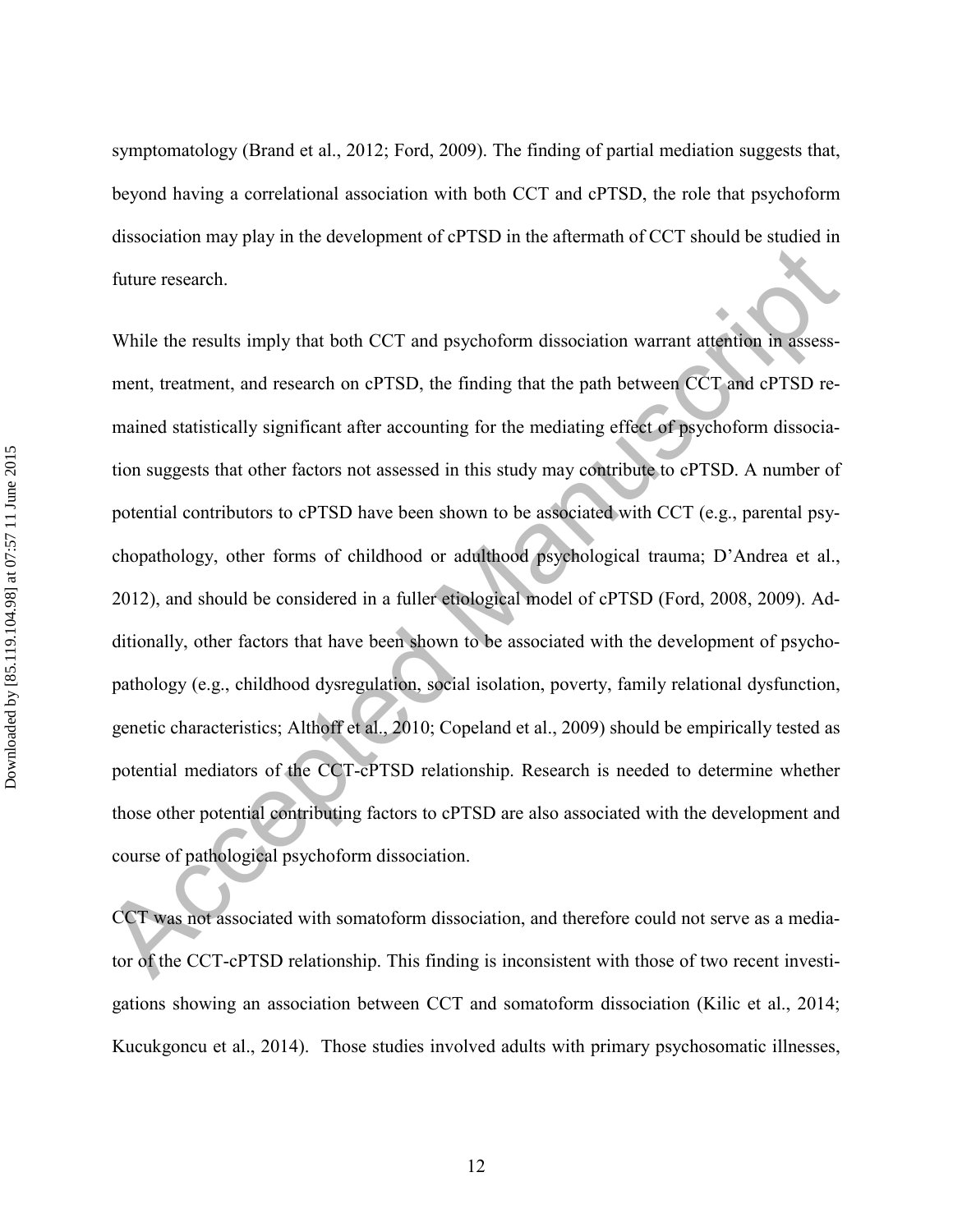symptomatology (Brand et al., 2012; Ford, 2009). The finding of partial mediation suggests that, beyond having a correlational association with both CCT and cPTSD, the role that psychoform dissociation may play in the development of cPTSD in the aftermath of CCT should be studied in future research.

future research.<br>
While the results imply that both CCT and psycholorm dissociation warrant attention in assessment, treatment, and research on cPTSD, the finding that the path between CCT and cPTSD remained statistically While the results imply that both CCT and psychoform dissociation warrant attention in assessment, treatment, and research on cPTSD, the finding that the path between CCT and cPTSD remained statistically significant after accounting for the mediating effect of psychoform dissociation suggests that other factors not assessed in this study may contribute to cPTSD. A number of potential contributors to cPTSD have been shown to be associated with CCT (e.g., parental psychopathology, other forms of childhood or adulthood psychological trauma; D'Andrea et al., 2012), and should be considered in a fuller etiological model of cPTSD (Ford, 2008, 2009). Additionally, other factors that have been shown to be associated with the development of psychopathology (e.g., childhood dysregulation, social isolation, poverty, family relational dysfunction, genetic characteristics; Althoff et al., 2010; Copeland et al., 2009) should be empirically tested as potential mediators of the CCT-cPTSD relationship. Research is needed to determine whether those other potential contributing factors to cPTSD are also associated with the development and course of pathological psychoform dissociation.

CCT was not associated with somatoform dissociation, and therefore could not serve as a mediator of the CCT-cPTSD relationship. This finding is inconsistent with those of two recent investigations showing an association between CCT and somatoform dissociation (Kilic et al., 2014; Kucukgoncu et al., 2014). Those studies involved adults with primary psychosomatic illnesses,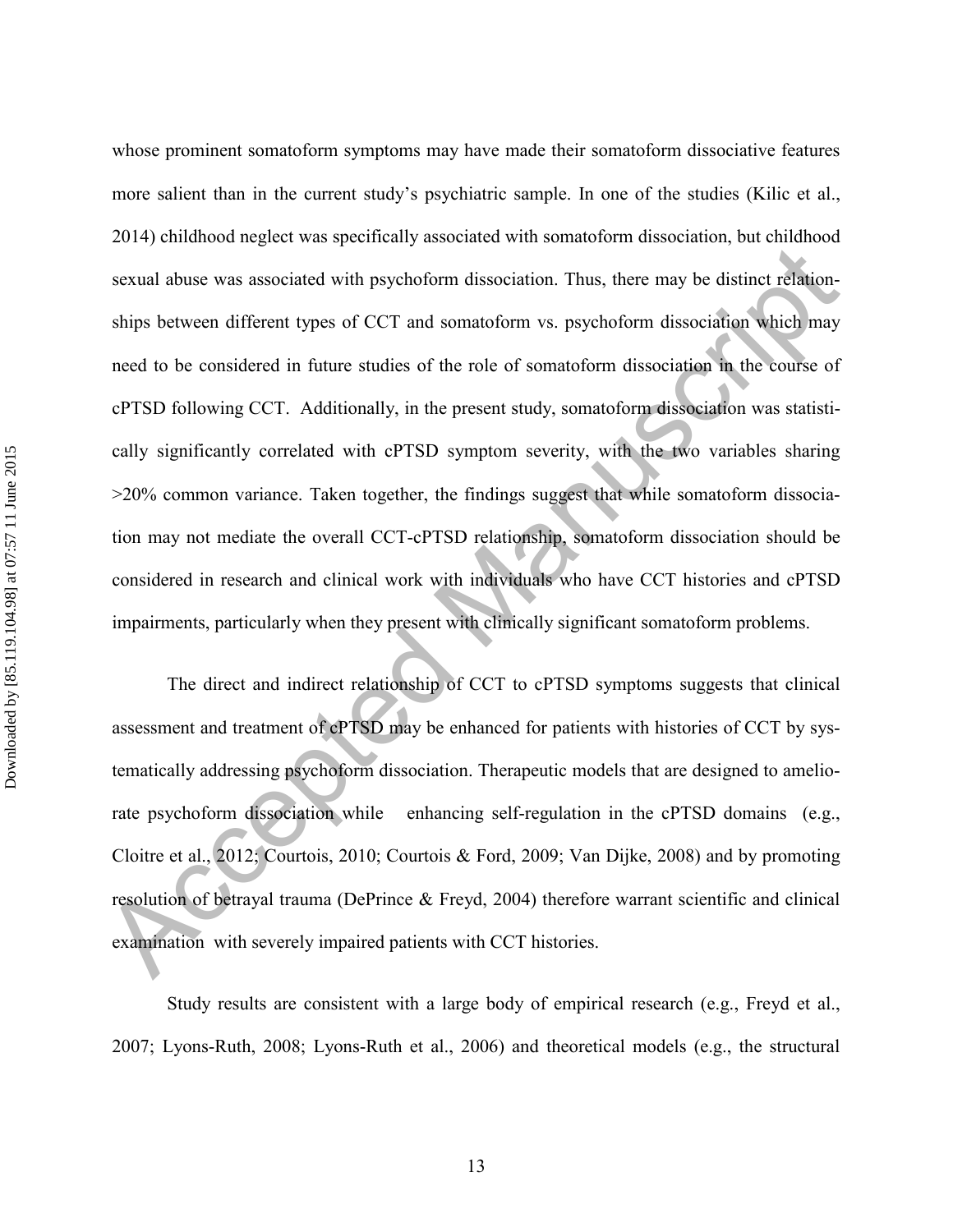sexual abuse was associated with psychoform dissociation. Thus, there may be distinct relation-<br>ships between different types of CCT and somatoform vs. psychoform dissociation which may<br>need to be considered in future stu whose prominent somatoform symptoms may have made their somatoform dissociative features more salient than in the current study's psychiatric sample. In one of the studies (Kilic et al., 2014) childhood neglect was specifically associated with somatoform dissociation, but childhood sexual abuse was associated with psychoform dissociation. Thus, there may be distinct relationships between different types of CCT and somatoform vs. psychoform dissociation which may need to be considered in future studies of the role of somatoform dissociation in the course of cPTSD following CCT. Additionally, in the present study, somatoform dissociation was statistically significantly correlated with cPTSD symptom severity, with the two variables sharing >20% common variance. Taken together, the findings suggest that while somatoform dissociation may not mediate the overall CCT-cPTSD relationship, somatoform dissociation should be considered in research and clinical work with individuals who have CCT histories and cPTSD impairments, particularly when they present with clinically significant somatoform problems.

The direct and indirect relationship of CCT to cPTSD symptoms suggests that clinical assessment and treatment of cPTSD may be enhanced for patients with histories of CCT by systematically addressing psychoform dissociation. Therapeutic models that are designed to ameliorate psychoform dissociation while enhancing self-regulation in the cPTSD domains (e.g., Cloitre et al., 2012; Courtois, 2010; Courtois & Ford, 2009; Van Dijke, 2008) and by promoting resolution of betrayal trauma (DePrince & Freyd, 2004) therefore warrant scientific and clinical examination with severely impaired patients with CCT histories.

 Study results are consistent with a large body of empirical research (e.g., Freyd et al., 2007; Lyons-Ruth, 2008; Lyons-Ruth et al., 2006) and theoretical models (e.g., the structural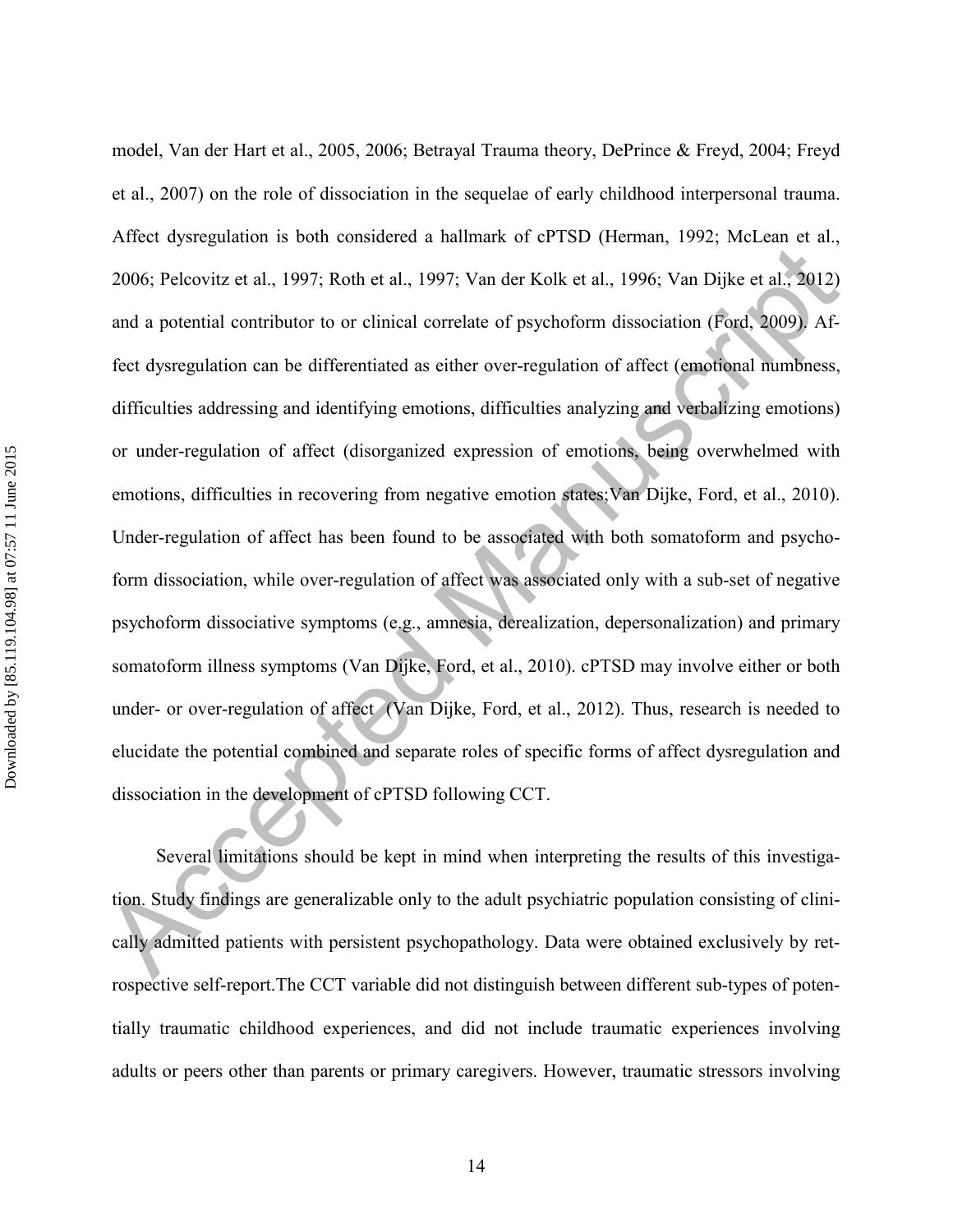2006; Pelcovitz et al., 1997; Roth et al., 1997; Van der Kolk et al., 1996; Van Dijke et al., 2012)<br>and a potential contributor to or clinical correlate of psycholorm dissociation (Ford, 2009) Af-<br>feet dysregulation can b model, Van der Hart et al., 2005, 2006; Betrayal Trauma theory, DePrince & Freyd, 2004; Freyd et al., 2007) on the role of dissociation in the sequelae of early childhood interpersonal trauma. Affect dysregulation is both considered a hallmark of cPTSD (Herman, 1992; McLean et al., 2006; Pelcovitz et al., 1997; Roth et al., 1997; Van der Kolk et al., 1996; Van Dijke et al., 2012) and a potential contributor to or clinical correlate of psychoform dissociation (Ford, 2009). Affect dysregulation can be differentiated as either over-regulation of affect (emotional numbness, difficulties addressing and identifying emotions, difficulties analyzing and verbalizing emotions) or under-regulation of affect (disorganized expression of emotions, being overwhelmed with emotions, difficulties in recovering from negative emotion states;Van Dijke, Ford, et al., 2010). Under-regulation of affect has been found to be associated with both somatoform and psychoform dissociation, while over-regulation of affect was associated only with a sub-set of negative psychoform dissociative symptoms (e.g., amnesia, derealization, depersonalization) and primary somatoform illness symptoms (Van Dijke, Ford, et al., 2010). cPTSD may involve either or both under- or over-regulation of affect (Van Dijke, Ford, et al., 2012). Thus, research is needed to elucidate the potential combined and separate roles of specific forms of affect dysregulation and dissociation in the development of cPTSD following CCT.

Several limitations should be kept in mind when interpreting the results of this investigation. Study findings are generalizable only to the adult psychiatric population consisting of clinically admitted patients with persistent psychopathology. Data were obtained exclusively by retrospective self-report.The CCT variable did not distinguish between different sub-types of potentially traumatic childhood experiences, and did not include traumatic experiences involving adults or peers other than parents or primary caregivers. However, traumatic stressors involving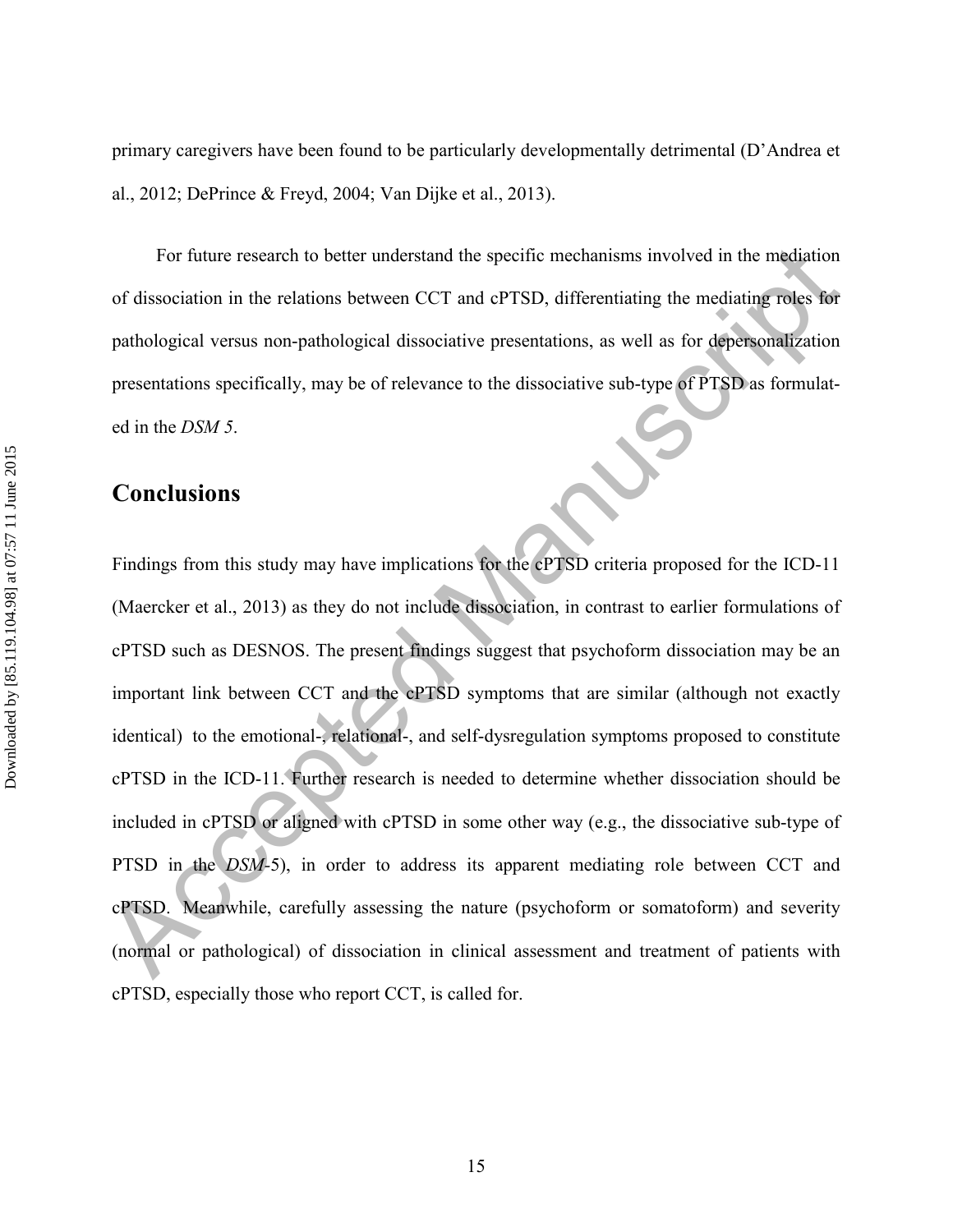primary caregivers have been found to be particularly developmentally detrimental (D'Andrea et al., 2012; DePrince & Freyd, 2004; Van Dijke et al., 2013).

For future research to better understand the specific mechanisms involved in the mediation of dissociation in the relations between CCT and cPTSD, differentiating the mediating roles for pathological versus non-pathological dissociative presentations, as well as for depersonalization presentations specifically, may be of relevance to the dissociative sub-type of PTSD as formulated in the *DSM 5*.

#### **Conclusions**

For future research to better understand the specific mechanisms involved in the mediation<br>of dissociation in the relations between CCT and ePTSD, differentiating the mediating roles for<br>pathological versus non-pathologic Findings from this study may have implications for the cPTSD criteria proposed for the ICD-11 (Maercker et al., 2013) as they do not include dissociation, in contrast to earlier formulations of cPTSD such as DESNOS. The present findings suggest that psychoform dissociation may be an important link between CCT and the cPTSD symptoms that are similar (although not exactly identical) to the emotional-, relational-, and self-dysregulation symptoms proposed to constitute cPTSD in the ICD-11. Further research is needed to determine whether dissociation should be included in cPTSD or aligned with cPTSD in some other way (e.g., the dissociative sub-type of PTSD in the *DSM-*5), in order to address its apparent mediating role between CCT and cPTSD. Meanwhile, carefully assessing the nature (psychoform or somatoform) and severity (normal or pathological) of dissociation in clinical assessment and treatment of patients with cPTSD, especially those who report CCT, is called for.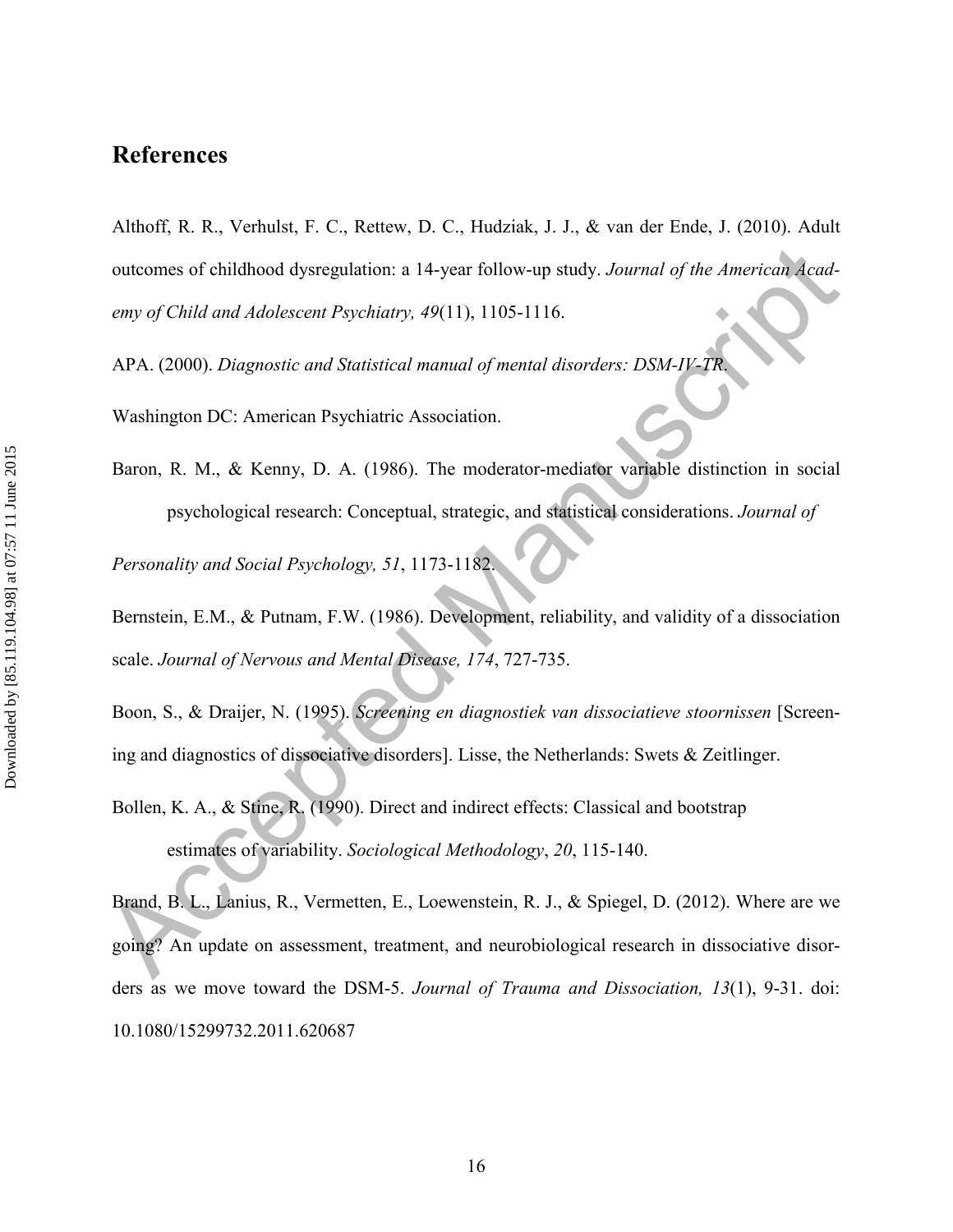#### **References**

Althoff, R. R., Verhulst, F. C., Rettew, D. C., Hudziak, J. J., & van der Ende, J. (2010). Adult outcomes of childhood dysregulation: a 14-year follow-up study. *Journal of the American Academy of Child and Adolescent Psychiatry, 49*(11), 1105-1116.

APA. (2000). *Diagnostic and Statistical manual of mental disorders: DSM-IV-TR*.

Washington DC: American Psychiatric Association.

outcomes of childhood dysregulation: a 14-year follow-up study. Journal of the American deader,<br>
APA. (2000). Diagnostic and Statistical manual of mental disorders: DSM-JT-17R<br>
Washington DC: American Psychiatry, 49(11), 1 Baron, R. M., & Kenny, D. A. (1986). The moderator-mediator variable distinction in social psychological research: Conceptual, strategic, and statistical considerations. *Journal of*

*Personality and Social Psychology, 51*, 1173-1182.

Bernstein, E.M., & Putnam, F.W. (1986). Development, reliability, and validity of a dissociation scale. *Journal of Nervous and Mental Disease, 174*, 727-735.

Boon, S., & Draijer, N. (1995). *Screening en diagnostiek van dissociatieve stoornissen* [Screening and diagnostics of dissociative disorders]. Lisse, the Netherlands: Swets & Zeitlinger.

Bollen, K. A., & Stine, R. (1990). Direct and indirect effects: Classical and bootstrap estimates of variability. *Sociological Methodology*, *20*, 115-140.

Brand, B. L., Lanius, R., Vermetten, E., Loewenstein, R. J., & Spiegel, D. (2012). Where are we going? An update on assessment, treatment, and neurobiological research in dissociative disorders as we move toward the DSM-5. *Journal of Trauma and Dissociation, 13*(1), 9-31. doi: 10.1080/15299732.2011.620687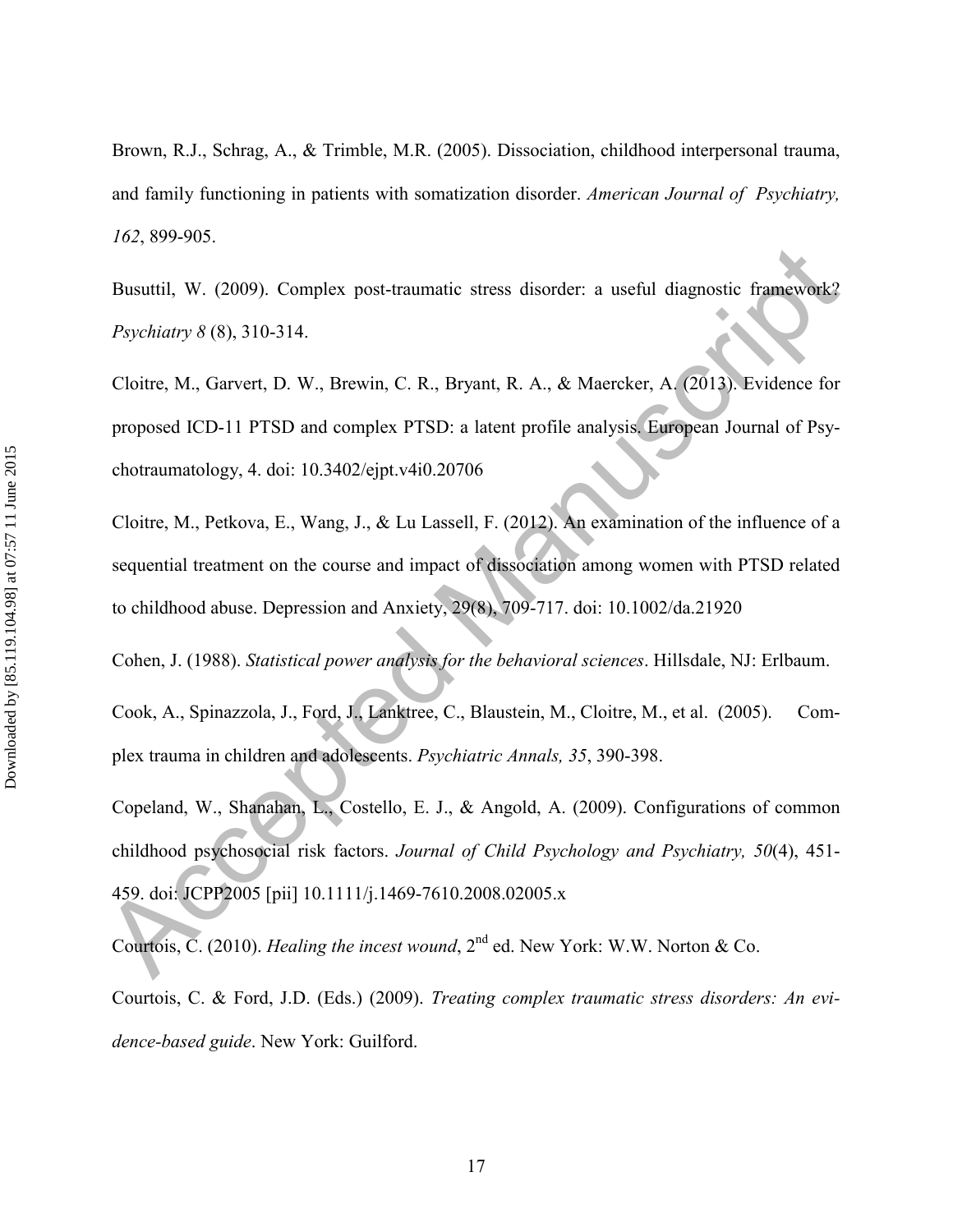Brown, R.J., Schrag, A., & Trimble, M.R. (2005). Dissociation, childhood interpersonal trauma, and family functioning in patients with somatization disorder. *American Journal of Psychiatry, 162*, 899-905.

Busuttil, W. (2009). Complex post-traumatic stress disorder: a useful diagnostic framework? *Psychiatry 8* (8), 310-314.

Busuttil, W. (2009). Complex post-traumatic stress disorder: a useful diagnostic framework?<br> *Psychiatry 8* (8), 310-314.<br>
Cloitre, M., Garvert, D. W., Brewin, C. R., Bryant, R. A., & Maercker, A (2013) Evidence for<br>
prop Cloitre, M., Garvert, D. W., Brewin, C. R., Bryant, R. A., & Maercker, A. (2013). Evidence for proposed ICD-11 PTSD and complex PTSD: a latent profile analysis. European Journal of Psychotraumatology, 4. doi: 10.3402/ejpt.v4i0.20706

Cloitre, M., Petkova, E., Wang, J., & Lu Lassell, F. (2012). An examination of the influence of a sequential treatment on the course and impact of dissociation among women with PTSD related to childhood abuse. Depression and Anxiety, 29(8), 709-717. doi: 10.1002/da.21920

Cohen, J. (1988). *Statistical power analysis for the behavioral sciences*. Hillsdale, NJ: Erlbaum.

Cook, A., Spinazzola, J., Ford, J., Lanktree, C., Blaustein, M., Cloitre, M., et al. (2005). Complex trauma in children and adolescents. *Psychiatric Annals, 35*, 390-398.

Copeland, W., Shanahan, L., Costello, E. J., & Angold, A. (2009). Configurations of common childhood psychosocial risk factors. *Journal of Child Psychology and Psychiatry, 50*(4), 451- 459. doi: JCPP2005 [pii] 10.1111/j.1469-7610.2008.02005.x

Courtois, C. (2010). *Healing the incest wound*, 2<sup>nd</sup> ed. New York: W.W. Norton & Co.

Courtois, C. & Ford, J.D. (Eds.) (2009). *Treating complex traumatic stress disorders: An evidence-based guide*. New York: Guilford.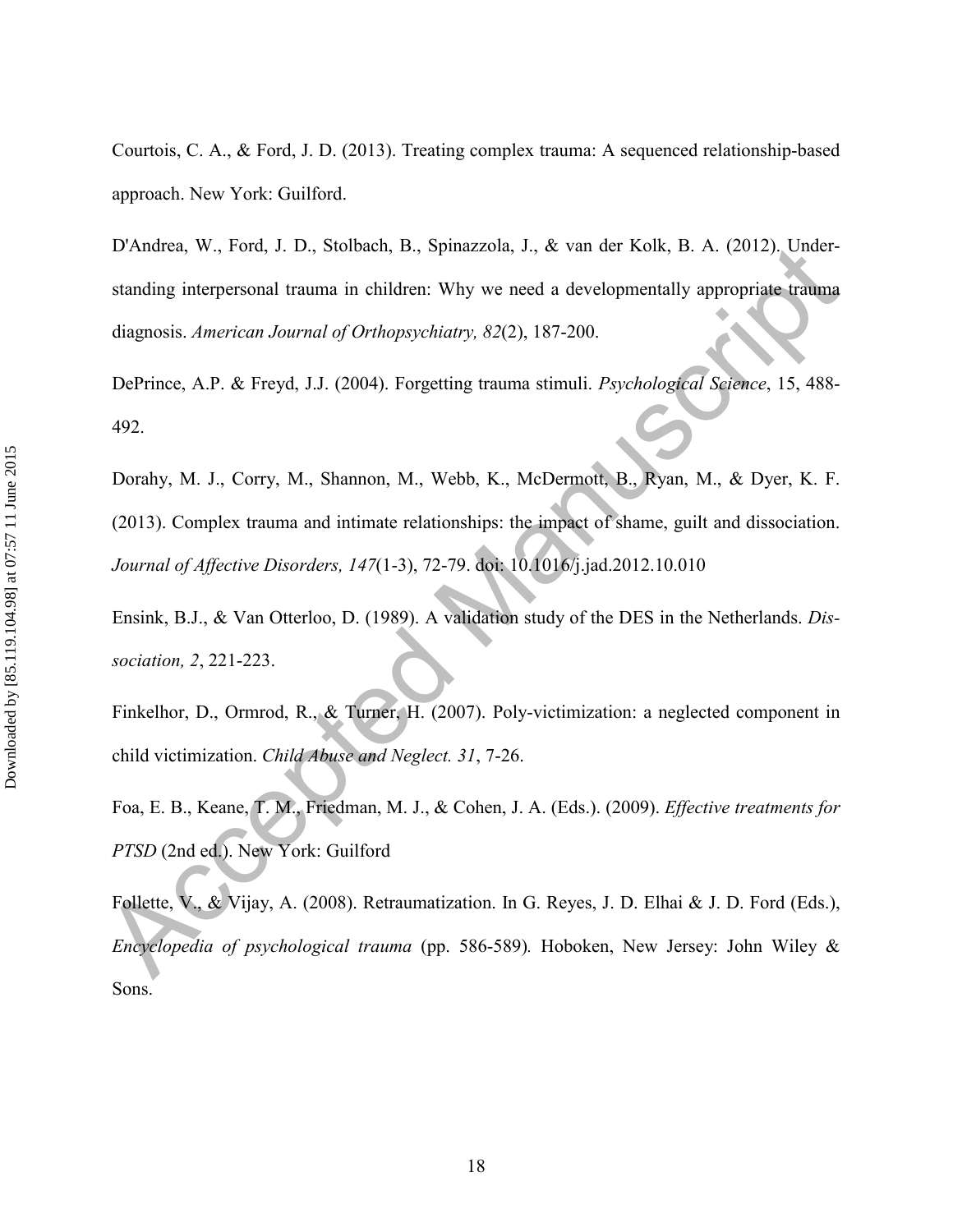Courtois, C. A., & Ford, J. D. (2013). Treating complex trauma: A sequenced relationship-based approach. New York: Guilford.

D'Andrea, W., Ford, J. D., Stolbach, B., Spinazzola, J., & van der Kolk, B. A. (2012). Understanding interpersonal trauma in children: Why we need a developmentally appropriate trauma diagnosis. *American Journal of Orthopsychiatry, 82*(2), 187-200.

DePrince, A.P. & Freyd, J.J. (2004). Forgetting trauma stimuli. *Psychological Science*, 15, 488- 492.

D'Andrea, W., Ford, J. D., Stolbaen, B., Spinazzola, J., & van der Kolk, B. A. (2012). Under-<br>standing interpersonal trauma in children: Why we need a developmentally appropriate frame<br>diagnosis. *American Journal of Orth* Dorahy, M. J., Corry, M., Shannon, M., Webb, K., McDermott, B., Ryan, M., & Dyer, K. F. (2013). Complex trauma and intimate relationships: the impact of shame, guilt and dissociation. *Journal of Affective Disorders, 147*(1-3), 72-79. doi: 10.1016/j.jad.2012.10.010

Ensink, B.J., & Van Otterloo, D. (1989). A validation study of the DES in the Netherlands. *Dissociation, 2*, 221-223.

Finkelhor, D., Ormrod, R., & Turner, H. (2007). Poly-victimization: a neglected component in child victimization. *Child Abuse and Neglect. 31*, 7-26.

Foa, E. B., Keane, T. M., Friedman, M. J., & Cohen, J. A. (Eds.). (2009). *Effective treatments for PTSD* (2nd ed.). New York: Guilford

Follette, V., & Vijay, A. (2008). Retraumatization. In G. Reyes, J. D. Elhai & J. D. Ford (Eds.), *Encyclopedia of psychological trauma* (pp. 586-589)*.* Hoboken, New Jersey: John Wiley & Sons.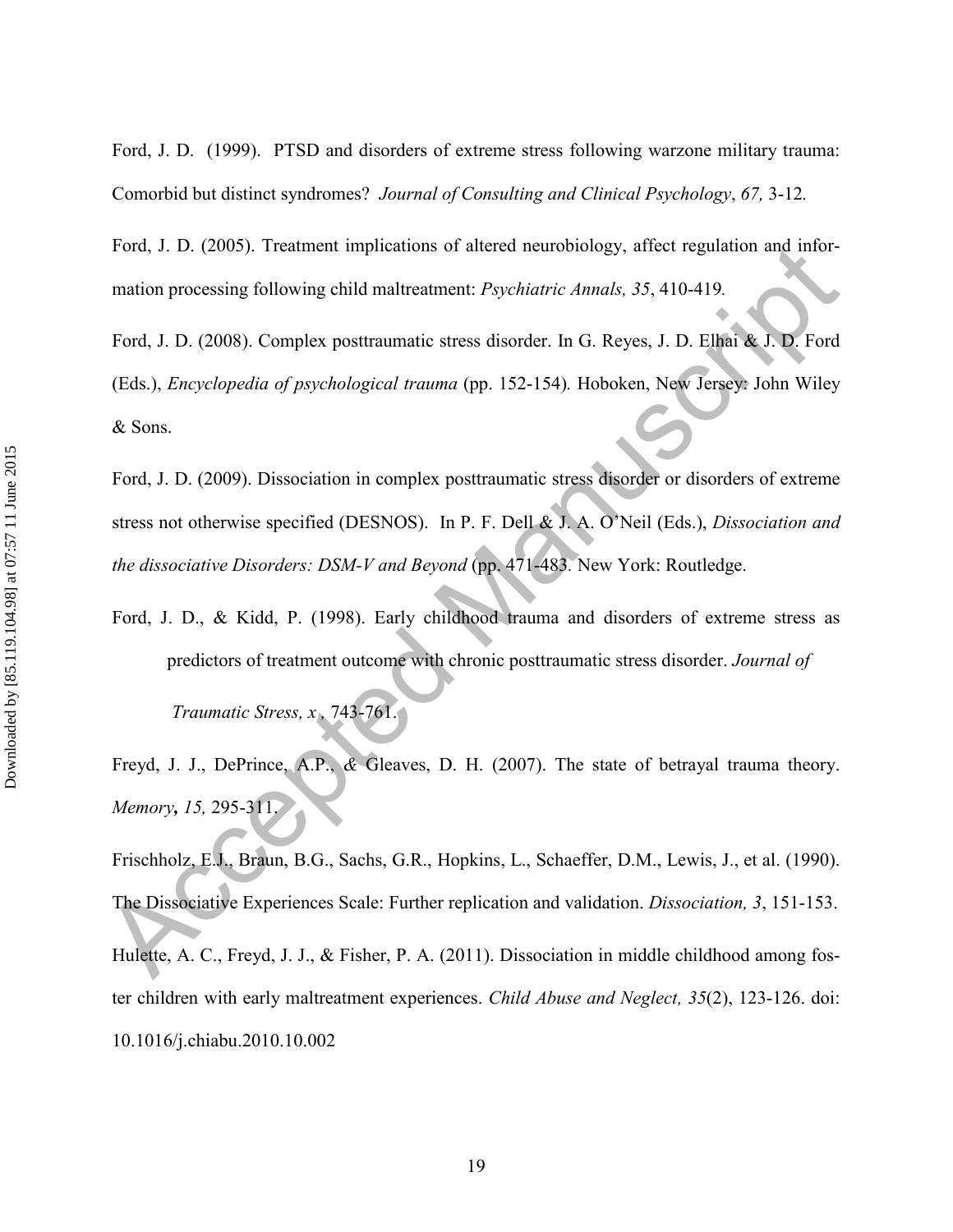Ford, J. D. (1999). PTSD and disorders of extreme stress following warzone military trauma: Comorbid but distinct syndromes? *Journal of Consulting and Clinical Psychology*, *67,* 3-12*.*

Ford, J. D. (2005). Treatment implications of altered neurobiology, affect regulation and information processing following child maltreatment: *Psychiatric Annals, 35*, 410-419*.*

Ford, J. D. (2005). Treatment implications of altered neurobiology, afteet regulation and information processing following child maltreatment. *Psychiatric Amals*, 35, 410-419.<br>
Ford, J. D. (2008). Complex posttraumatic s Ford, J. D. (2008). Complex posttraumatic stress disorder. In G. Reyes, J. D. Elhai & J. D. Ford (Eds.), *Encyclopedia of psychological trauma* (pp. 152-154)*.* Hoboken, New Jersey: John Wiley & Sons.

Ford, J. D. (2009). Dissociation in complex posttraumatic stress disorder or disorders of extreme stress not otherwise specified (DESNOS). In P. F. Dell & J. A. O'Neil (Eds.), *Dissociation and the dissociative Disorders: DSM-V and Beyond* (pp. 471-483*.* New York: Routledge.

Ford, J. D., & Kidd, P. (1998). Early childhood trauma and disorders of extreme stress as predictors of treatment outcome with chronic posttraumatic stress disorder. *Journal of*

*Traumatic Stress, x ,* 743-761.

Freyd, J. J., DePrince, A.P., *&* Gleaves, D. H. (2007). The state of betrayal trauma theory. *Memory, 15,* 295-311.

Frischholz, E.J., Braun, B.G., Sachs, G.R., Hopkins, L., Schaeffer, D.M., Lewis, J., et al. (1990). The Dissociative Experiences Scale: Further replication and validation. *Dissociation, 3*, 151-153.

Hulette, A. C., Freyd, J. J., & Fisher, P. A. (2011). Dissociation in middle childhood among foster children with early maltreatment experiences. *Child Abuse and Neglect, 35*(2), 123-126. doi: 10.1016/j.chiabu.2010.10.002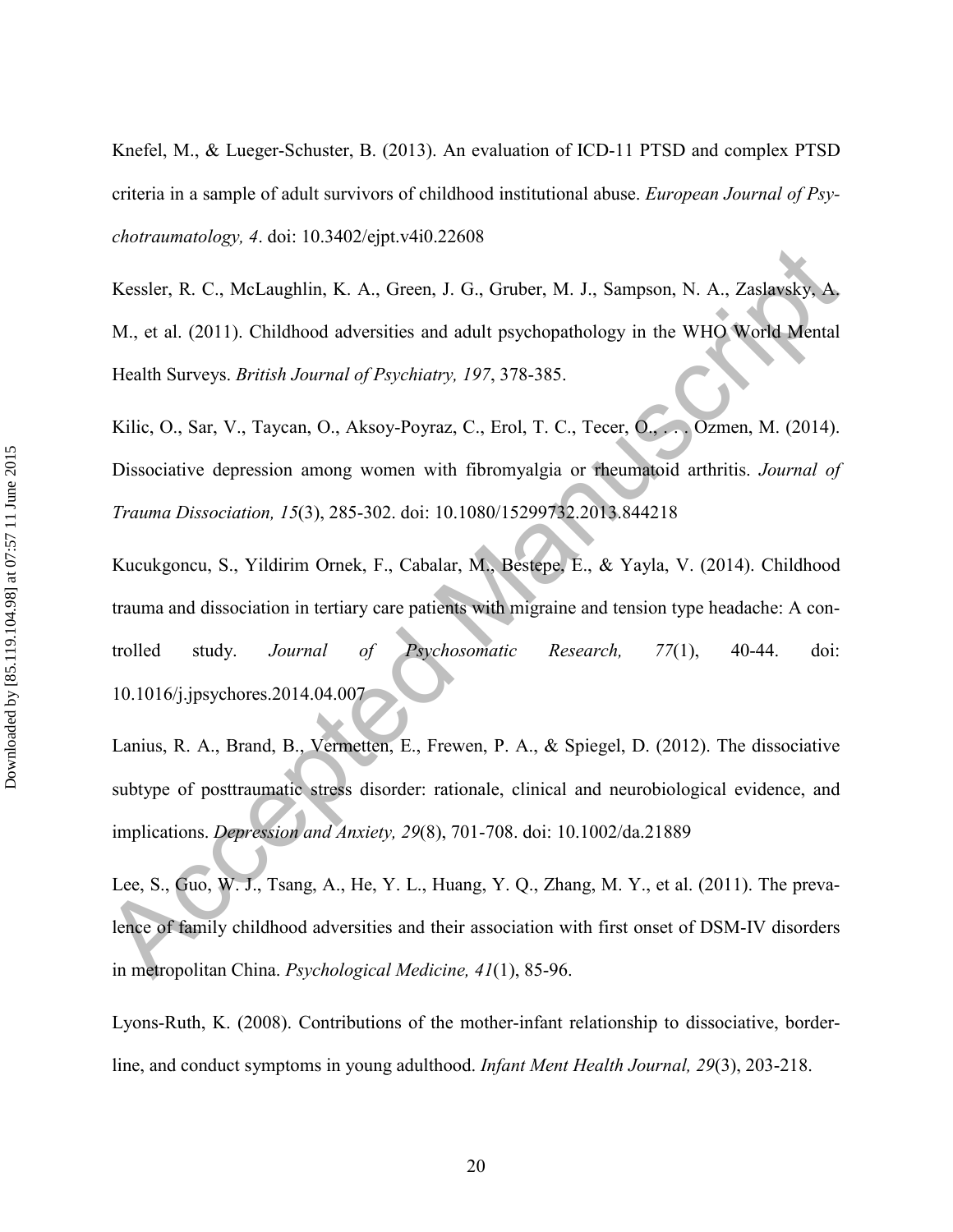Knefel, M., & Lueger-Schuster, B. (2013). An evaluation of ICD-11 PTSD and complex PTSD criteria in a sample of adult survivors of childhood institutional abuse. *European Journal of Psychotraumatology, 4*. doi: 10.3402/ejpt.v4i0.22608

Kessler, R. C., McLaughlin, K. A., Green, J. G., Gruber, M. J., Sampson, N. A., Zaslavsky, A. M., et al. (2011). Childhood adversities and adult psychopathology in the WHO World Mental Health Surveys. *British Journal of Psychiatry, 197*, 378-385.

Kilic, O., Sar, V., Taycan, O., Aksoy-Poyraz, C., Erol, T. C., Tecer, O., . . . Ozmen, M. (2014). Dissociative depression among women with fibromyalgia or rheumatoid arthritis. *Journal of Trauma Dissociation, 15*(3), 285-302. doi: 10.1080/15299732.2013.844218

Kessler, R. C., McLaughlin, K. A., Green, J. G., Gruber, M. J., Sampson, N. A., Zaslawsky, A.<br>
M., et al. (2011). Childhood adversities and adult psychopathology in the WHO World Mental<br>
Health Surveys. *British Journal o* Kucukgoncu, S., Yildirim Ornek, F., Cabalar, M., Bestepe, E., & Yayla, V. (2014). Childhood trauma and dissociation in tertiary care patients with migraine and tension type headache: A controlled study. *Journal of Psychosomatic Research, 77*(1), 40-44. doi: 10.1016/j.jpsychores.2014.04.007

Lanius, R. A., Brand, B., Vermetten, E., Frewen, P. A., & Spiegel, D. (2012). The dissociative subtype of posttraumatic stress disorder: rationale, clinical and neurobiological evidence, and implications. *Depression and Anxiety, 29*(8), 701-708. doi: 10.1002/da.21889

Lee, S., Guo, W. J., Tsang, A., He, Y. L., Huang, Y. Q., Zhang, M. Y., et al. (2011). The prevalence of family childhood adversities and their association with first onset of DSM-IV disorders in metropolitan China. *Psychological Medicine, 41*(1), 85-96.

Lyons-Ruth, K. (2008). Contributions of the mother-infant relationship to dissociative, borderline, and conduct symptoms in young adulthood. *Infant Ment Health Journal, 29*(3), 203-218.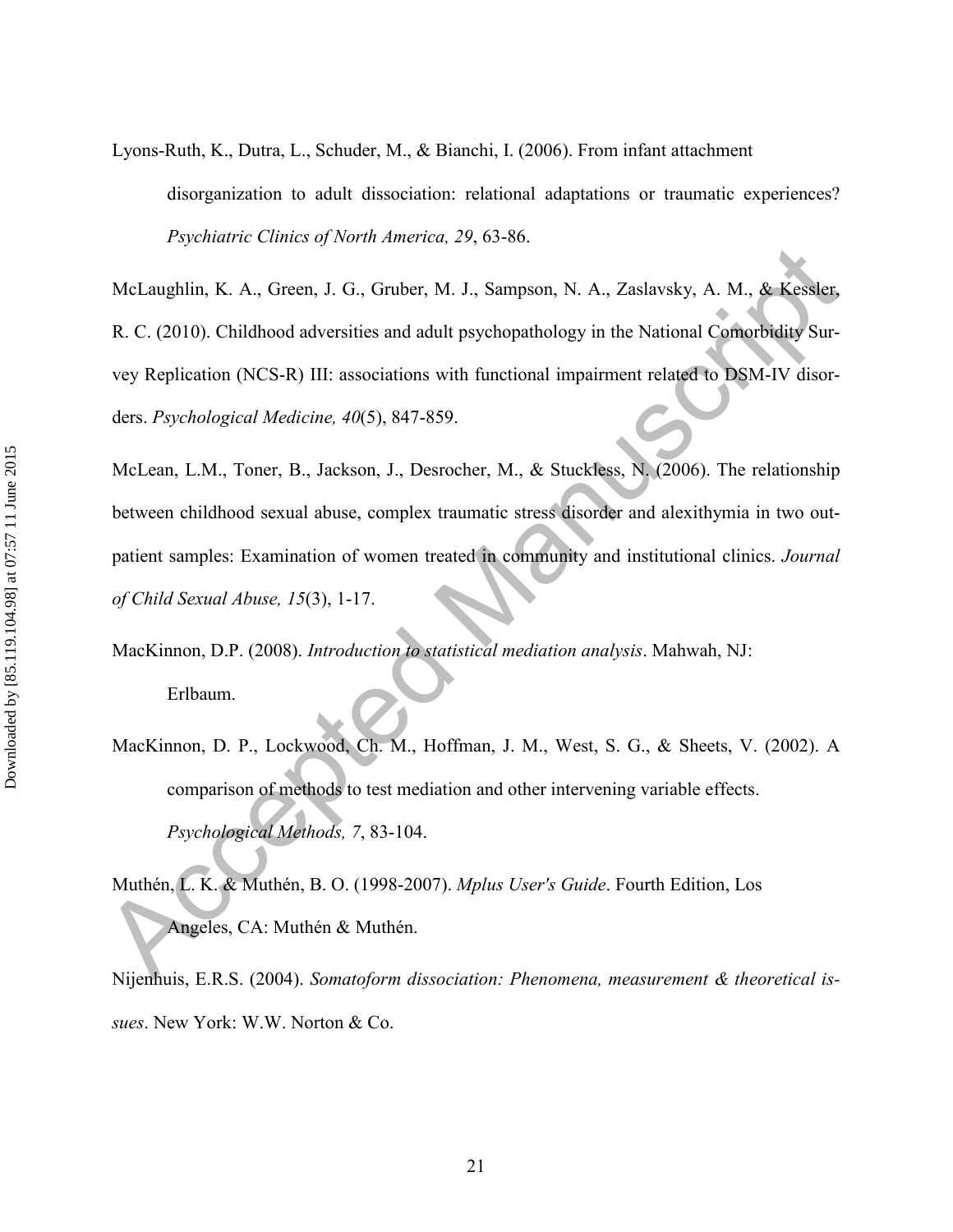Lyons-Ruth, K., Dutra, L., Schuder, M., & Bianchi, I. (2006). From infant attachment disorganization to adult dissociation: relational adaptations or traumatic experiences? *Psychiatric Clinics of North America, 29*, 63-86.

McLaughlin, K. A., Green, J. G., Gruber, M. J., Sampson, N. A., Zaslavsky, A. M., & Kessler,<br>
R. C. (2010). Childhood adversities and adult psychopathology in the National Comorbidity Survey Replication (NCS-R) III: associ McLaughlin, K. A., Green, J. G., Gruber, M. J., Sampson, N. A., Zaslavsky, A. M., & Kessler, R. C. (2010). Childhood adversities and adult psychopathology in the National Comorbidity Survey Replication (NCS-R) III: associations with functional impairment related to DSM-IV disorders. *Psychological Medicine, 40*(5), 847-859.

McLean, L.M., Toner, B., Jackson, J., Desrocher, M., & Stuckless, N. (2006). The relationship between childhood sexual abuse, complex traumatic stress disorder and alexithymia in two outpatient samples: Examination of women treated in community and institutional clinics. *Journal of Child Sexual Abuse, 15*(3), 1-17.

- MacKinnon, D.P. (2008). *Introduction to statistical mediation analysis*. Mahwah, NJ: Erlbaum.
- MacKinnon, D. P., Lockwood, Ch. M., Hoffman, J. M., West, S. G., & Sheets, V. (2002). A comparison of methods to test mediation and other intervening variable effects. *Psychological Methods, 7*, 83-104.

Muthén, L. K. & Muthén, B. O. (1998-2007). *Mplus User's Guide*. Fourth Edition, Los Angeles, CA: Muthén & Muthén.

Nijenhuis, E.R.S. (2004). *Somatoform dissociation: Phenomena, measurement & theoretical issues*. New York: W.W. Norton & Co.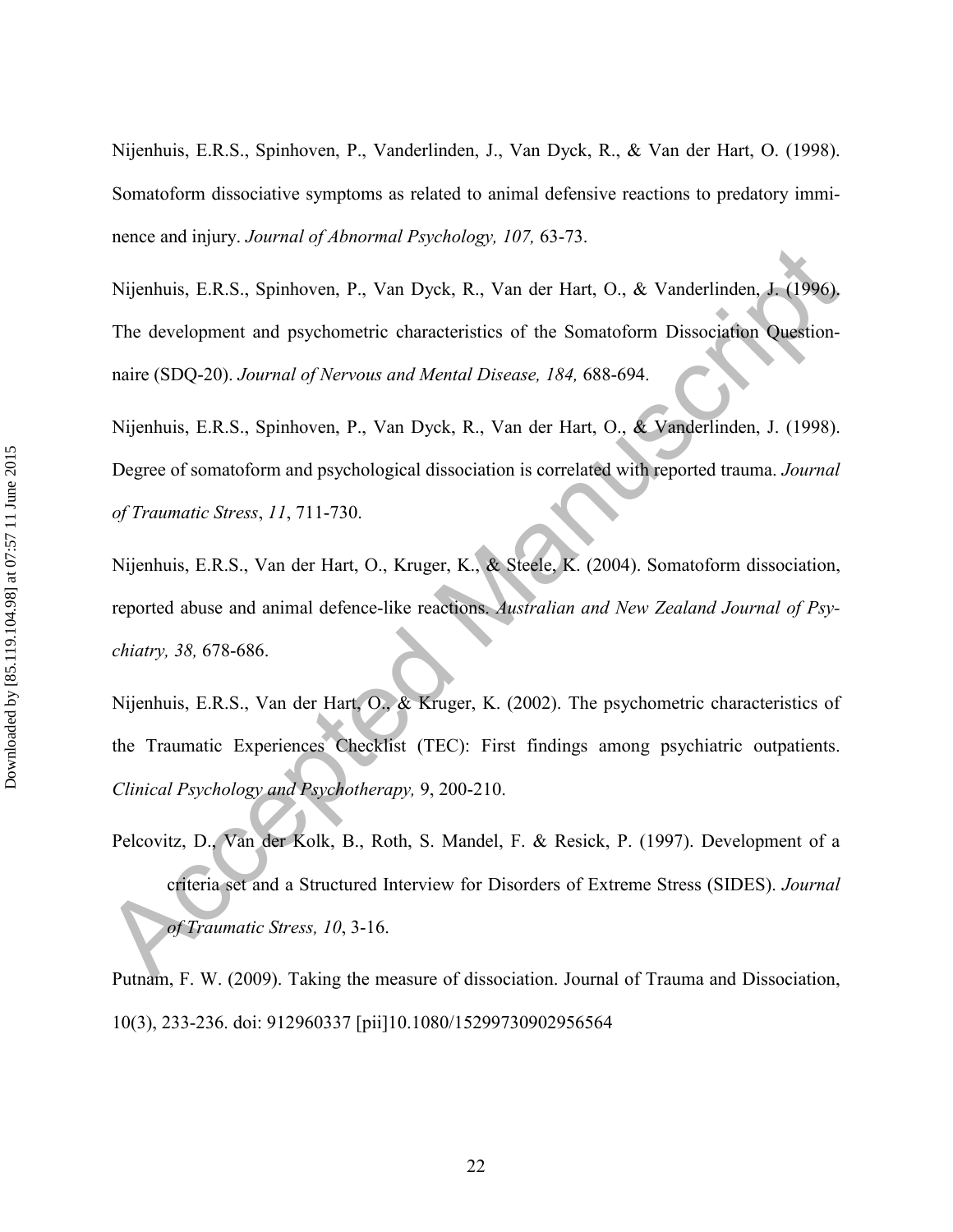Nijenhuis, E.R.S., Spinhoven, P., Vanderlinden, J., Van Dyck, R., & Van der Hart, O. (1998). Somatoform dissociative symptoms as related to animal defensive reactions to predatory imminence and injury. *Journal of Abnormal Psychology, 107,* 63-73.

Nijenhuis, E.R.S., Spinhoven, P., Van Dyck, R., Van der Hart, O., & Vanderlinden, J. (1996). The development and psychometric characteristics of the Somatoform Dissociation Questionnaire (SDQ-20). *Journal of Nervous and Mental Disease, 184,* 688-694.

Nijenhuis, E.R.S., Spinhoven, P., Van Dyck, R., Van der Hart, O., & Vanderlinden, J. (1998). Degree of somatoform and psychological dissociation is correlated with reported trauma. *Journal of Traumatic Stress*, *11*, 711-730.

Nijenhuis, E.R.S., Van der Hart, O., Kruger, K., & Steele, K. (2004). Somatoform dissociation, reported abuse and animal defence-like reactions. *Australian and New Zealand Journal of Psychiatry, 38,* 678-686.

Nijenhuis, E.R.S., Van der Hart, O., & Kruger, K. (2002). The psychometric characteristics of the Traumatic Experiences Checklist (TEC): First findings among psychiatric outpatients. *Clinical Psychology and Psychotherapy,* 9, 200-210.

Nijenhuis, E.R.S., Spinhoven, P., Van Dyck, R., Van der Hart, O., & Vanderlinden, J. (1996).<br>The development and psychometric characteristics of the Somatoform Dissociation Question-<br>naire (SDQ-20). Journal of Nervous and Pelcovitz, D., Van der Kolk, B., Roth, S. Mandel, F. & Resick, P. (1997). Development of a criteria set and a Structured Interview for Disorders of Extreme Stress (SIDES). *Journal of Traumatic Stress, 10*, 3-16.

Putnam, F. W. (2009). Taking the measure of dissociation. Journal of Trauma and Dissociation, 10(3), 233-236. doi: 912960337 [pii]10.1080/15299730902956564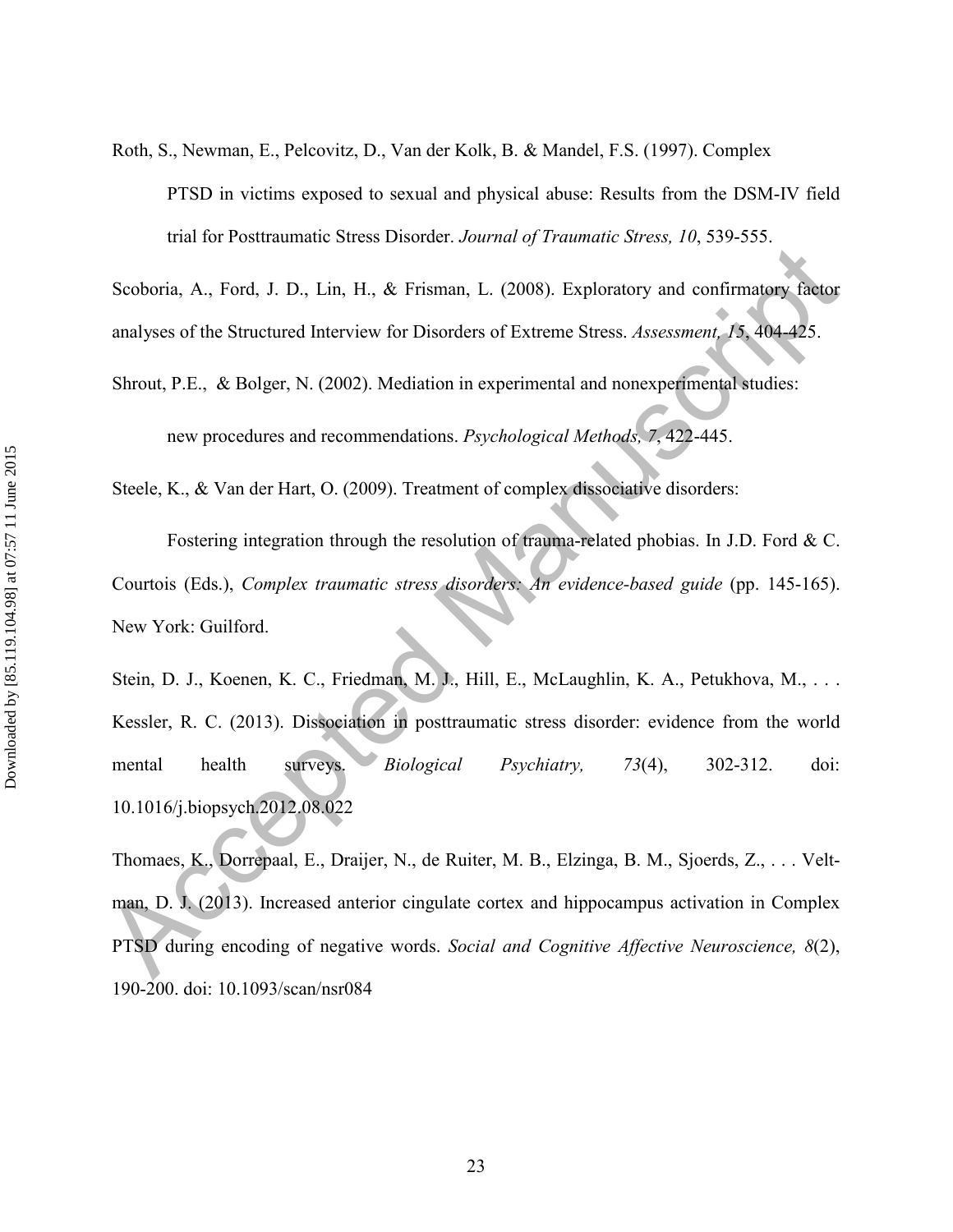Roth, S., Newman, E., Pelcovitz, D., Van der Kolk, B. & Mandel, F.S. (1997). Complex PTSD in victims exposed to sexual and physical abuse: Results from the DSM-IV field trial for Posttraumatic Stress Disorder. *Journal of Traumatic Stress, 10*, 539-555.

Scoboria, A., Ford, J. D., Lin, H., & Frisman, L. (2008). Exploratory and confirmatory factor analyses of the Structured Interview for Disorders of Extreme Stress. *Assessment, 15*, 404-425.

Shrout, P.E., & Bolger, N. (2002). Mediation in experimental and nonexperimental studies:

new procedures and recommendations. *Psychological Methods, 7*, 422-445.

Steele, K., & Van der Hart, O. (2009). Treatment of complex dissociative disorders:

Fostering integration through the resolution of trauma-related phobias. In J.D. Ford & C. Courtois (Eds.), *Complex traumatic stress disorders: An evidence-based guide* (pp. 145-165). New York: Guilford.

Scoboria, A., Ford, J. D., Lin, H., & Frisman, L. (2008). Exploratory and confirmatory lactor<br>analyses of the Structured Interview for Disorders of Extreme Stress. Assessment, J.S. 404-425.<br>Shrout, P.E., & Bolger, N. (200 Stein, D. J., Koenen, K. C., Friedman, M. J., Hill, E., McLaughlin, K. A., Petukhova, M., ... Kessler, R. C. (2013). Dissociation in posttraumatic stress disorder: evidence from the world mental health surveys. *Biological Psychiatry, 73*(4), 302-312. doi: 10.1016/j.biopsych.2012.08.022

Thomaes, K., Dorrepaal, E., Draijer, N., de Ruiter, M. B., Elzinga, B. M., Sjoerds, Z., . . . Veltman, D. J. (2013). Increased anterior cingulate cortex and hippocampus activation in Complex PTSD during encoding of negative words. *Social and Cognitive Affective Neuroscience, 8*(2), 190-200. doi: 10.1093/scan/nsr084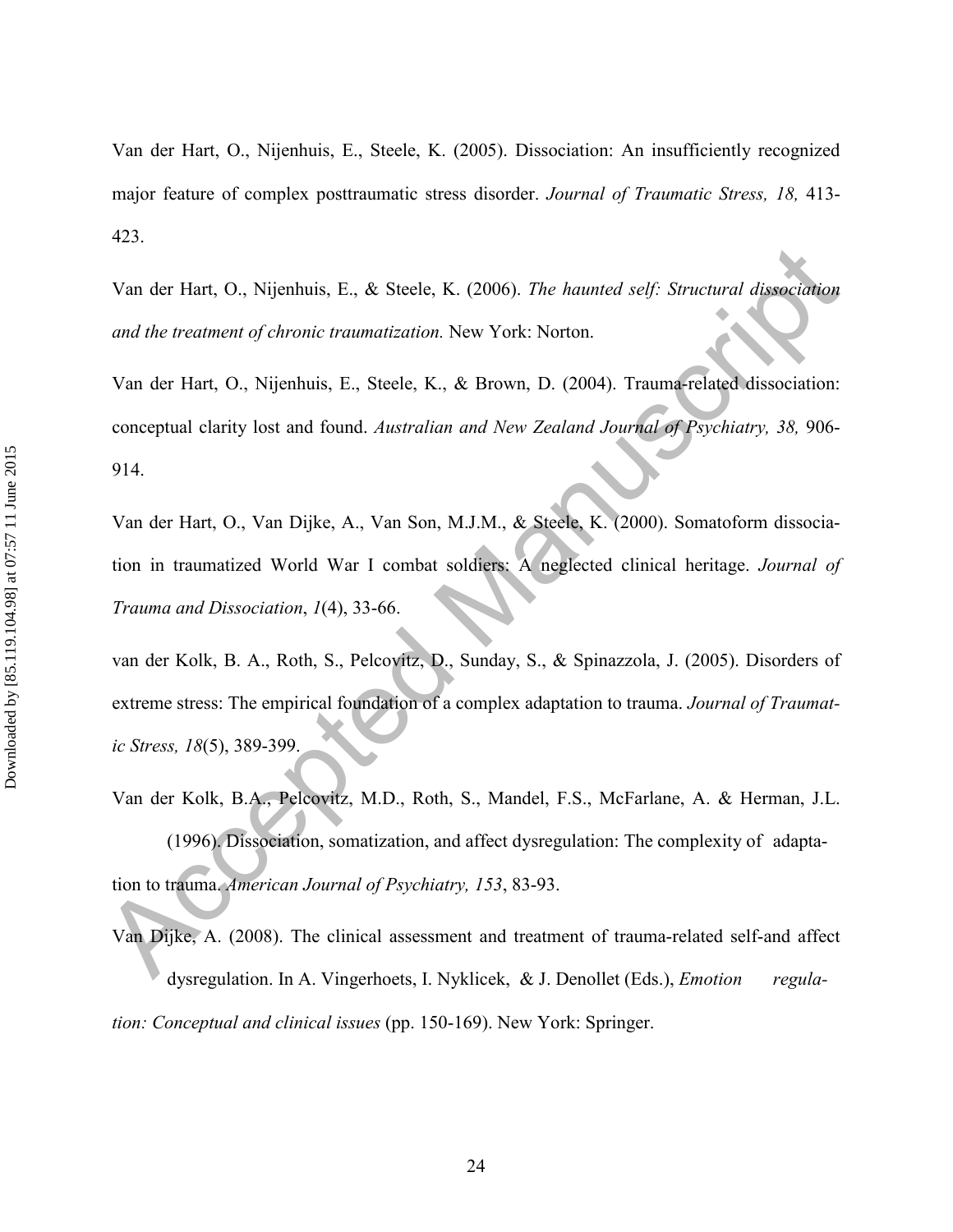Van der Hart, O., Nijenhuis, E., Steele, K. (2005). Dissociation: An insufficiently recognized major feature of complex posttraumatic stress disorder. *Journal of Traumatic Stress, 18,* 413- 423.

Van der Hart, O., Nijenhuis, E., & Steele, K. (2006). *The haunted self: Structural dissociation and the treatment of chronic traumatization.* New York: Norton.

Van der Hart, O., Nijenhuis, E., Steele, K., & Brown, D. (2004). Trauma-related dissociation: conceptual clarity lost and found. *Australian and New Zealand Journal of Psychiatry, 38,* 906- 914.

Van der Hart, O., Van Dijke, A., Van Son, M.J.M., & Steele, K. (2000). Somatoform dissociation in traumatized World War I combat soldiers: A neglected clinical heritage. *Journal of Trauma and Dissociation*, *1*(4), 33-66.

Van der Hart, O., Nijenhuis, E., & Steele, K. (2006). The haunted self: Structural dissociation<br>
and the treatment of chronic traumatization. New York: Norton.<br>
Van der Hart, O., Nijenhuis, E., Steele, K., & Brown, D. (20 van der Kolk, B. A., Roth, S., Pelcovitz, D., Sunday, S., & Spinazzola, J. (2005). Disorders of extreme stress: The empirical foundation of a complex adaptation to trauma. *Journal of Traumatic Stress, 18*(5), 389-399.

Van der Kolk, B.A., Pelcovitz, M.D., Roth, S., Mandel, F.S., McFarlane, A. & Herman, J.L. (1996). Dissociation, somatization, and affect dysregulation: The complexity of adaptation to trauma. *American Journal of Psychiatry, 153*, 83-93.

Van Dijke, A. (2008). The clinical assessment and treatment of trauma-related self-and affect dysregulation. In A. Vingerhoets, I. Nyklicek, & J. Denollet (Eds.), *Emotion regulation: Conceptual and clinical issues* (pp. 150-169). New York: Springer.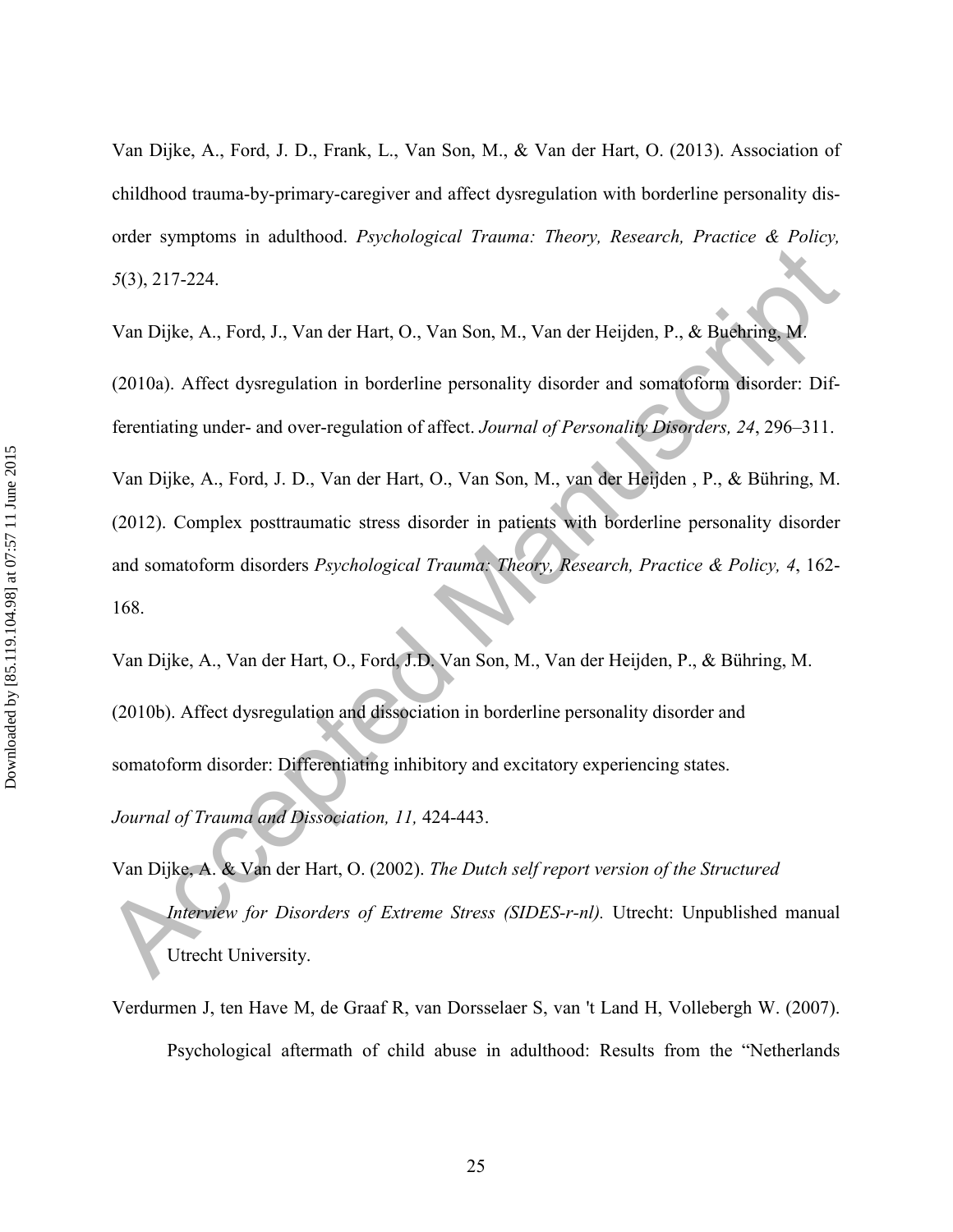Van Dijke, A., Ford, J. D., Frank, L., Van Son, M., & Van der Hart, O. (2013). Association of childhood trauma-by-primary-caregiver and affect dysregulation with borderline personality disorder symptoms in adulthood. *Psychological Trauma: Theory, Research, Practice & Policy, 5*(3), 217-224.

Van Dijke, A., Ford, J., Van der Hart, O., Van Son, M., Van der Heijden, P., & Buehring, M.

(2010a). Affect dysregulation in borderline personality disorder and somatoform disorder: Differentiating under- and over-regulation of affect. *Journal of Personality Disorders, 24*, 296–311.

Van Dijke, A., Ford, J. D., Van der Hart, O., Van Son, M., van der Heijden , P., & Bühring, M. (2012). Complex posttraumatic stress disorder in patients with borderline personality disorder and somatoform disorders *Psychological Trauma: Theory, Research, Practice & Policy, 4*, 162- 168.

3(3), 217-224.<br>
Van Dijke, A., Ford, J., Van der Hart, O., Van Son, M., Van der Heijden, P., & Buchting, M.<br>
(2010a). Affect dysregulation in borderline personality disorder and somatoform disorder: Dif-<br>
fcremitating und Van Dijke, A., Van der Hart, O., Ford, J.D. Van Son, M., Van der Heijden, P., & Bühring, M. (2010b). Affect dysregulation and dissociation in borderline personality disorder and somatoform disorder: Differentiating inhibitory and excitatory experiencing states.

*Journal of Trauma and Dissociation, 11,* 424-443.

Van Dijke, A. & Van der Hart, O. (2002). *The Dutch self report version of the Structured Interview for Disorders of Extreme Stress (SIDES-r-nl).* Utrecht: Unpublished manual Utrecht University.

Verdurmen J, ten Have M, de Graaf R, van Dorsselaer S, van 't Land H, Vollebergh W. (2007). Psychological aftermath of child abuse in adulthood: Results from the "Netherlands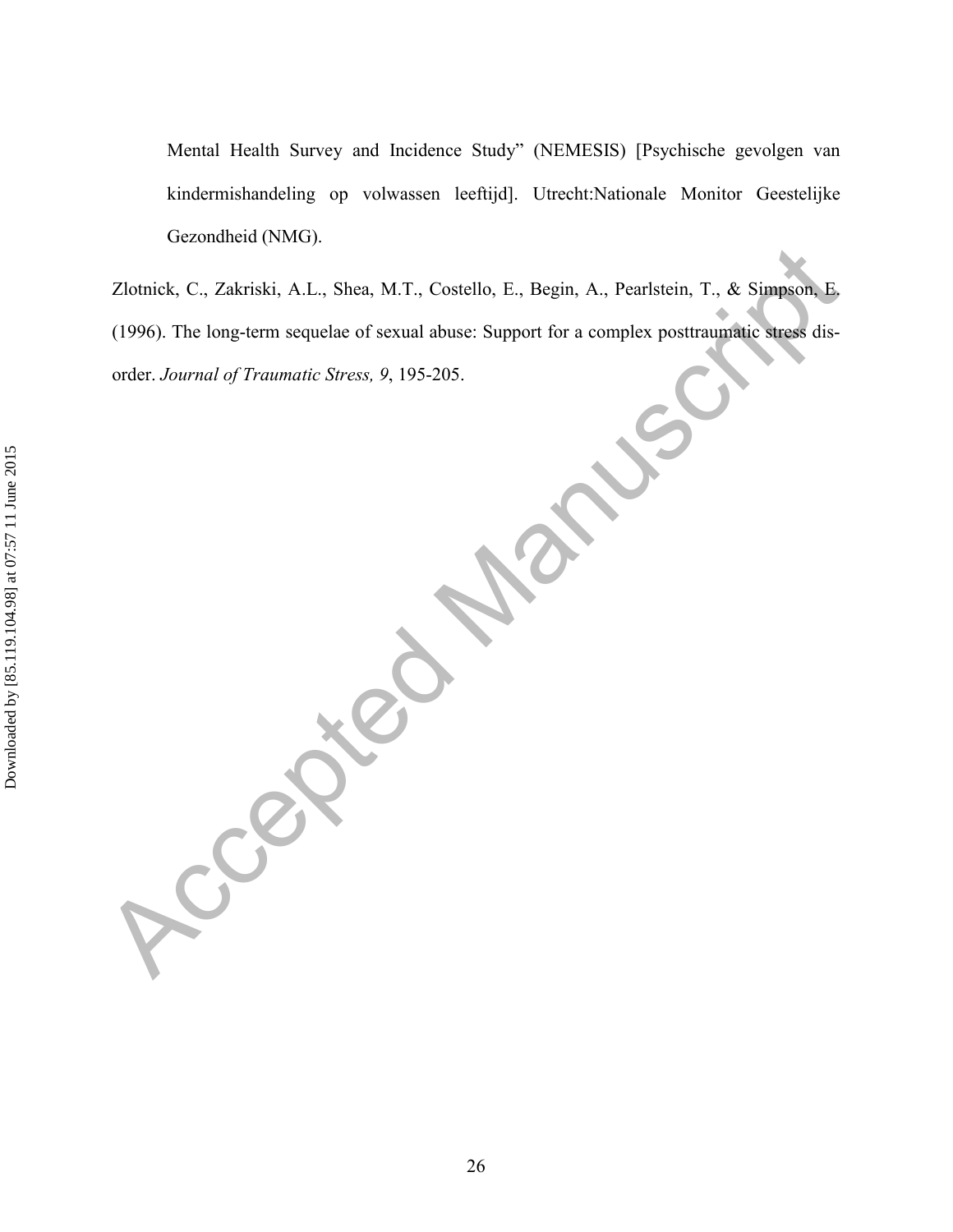Mental Health Survey and Incidence Study" (NEMESIS) [Psychische gevolgen van kindermishandeling op volwassen leeftijd]. Utrecht:Nationale Monitor Geestelijke Gezondheid (NMG).

Zlotnick, C., Zakriski, A.L., Shca, M.T., Costello, E., Begin, A., Pearlstein, T., & Simpson, E.<br>
(1996). The long-term sequelae of sexual abuse: Support for a complex posttraumatic stress dis-<br>
order. Journal of Traumatic Zlotnick, C., Zakriski, A.L., Shea, M.T., Costello, E., Begin, A., Pearlstein, T., & Simpson, E. (1996). The long-term sequelae of sexual abuse: Support for a complex posttraumatic stress disorder. *Journal of Traumatic Stress, 9*, 195-205.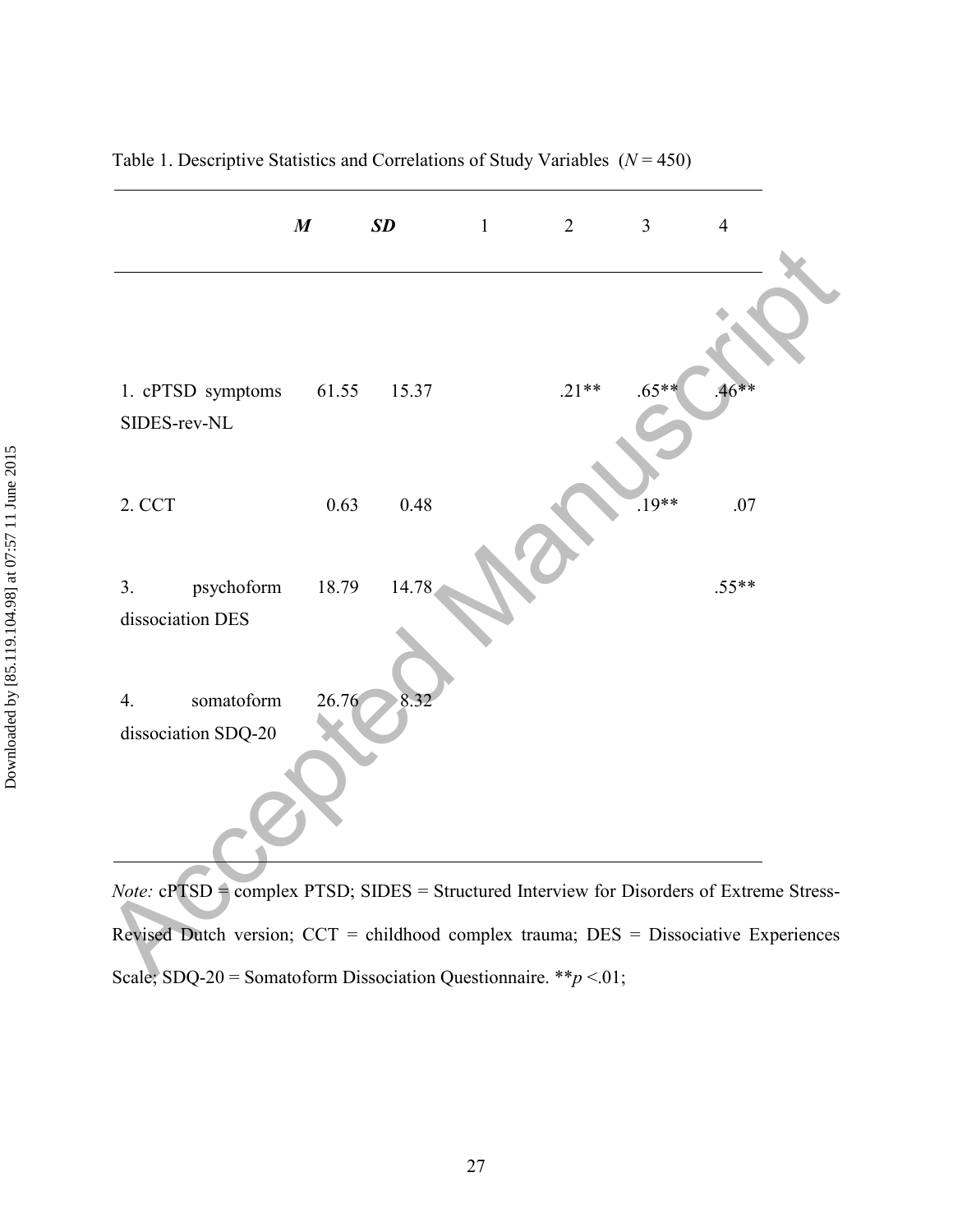

Table 1. Descriptive Statistics and Correlations of Study Variables (*N* = 450)

*Note:* cPTSD = complex PTSD; SIDES = Structured Interview for Disorders of Extreme Stress-Revised Dutch version; CCT = childhood complex trauma; DES = Dissociative Experiences Scale; SDQ-20 = Somatoform Dissociation Questionnaire. \*\**p* <.01;